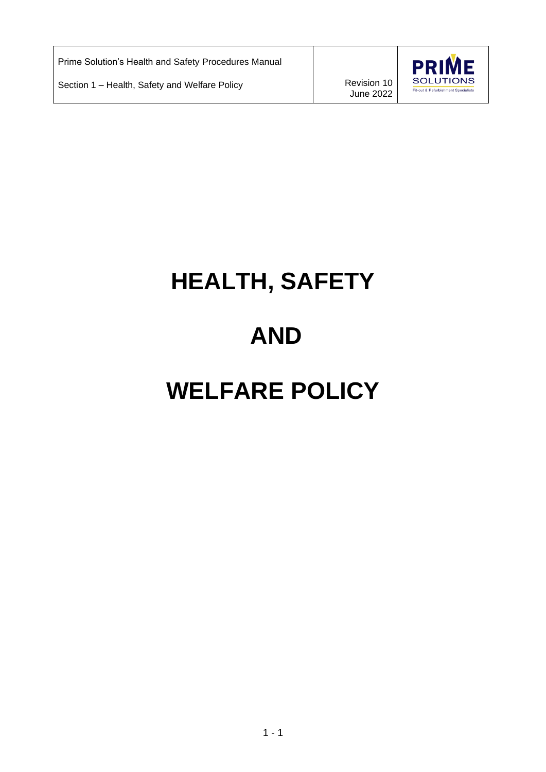Prime Solution's Health and Safety Procedures Manual

Section 1 – Health, Safety and Welfare Policy **Revision 10** Revision 10

June 2022



# **HEALTH, SAFETY AND WELFARE POLICY**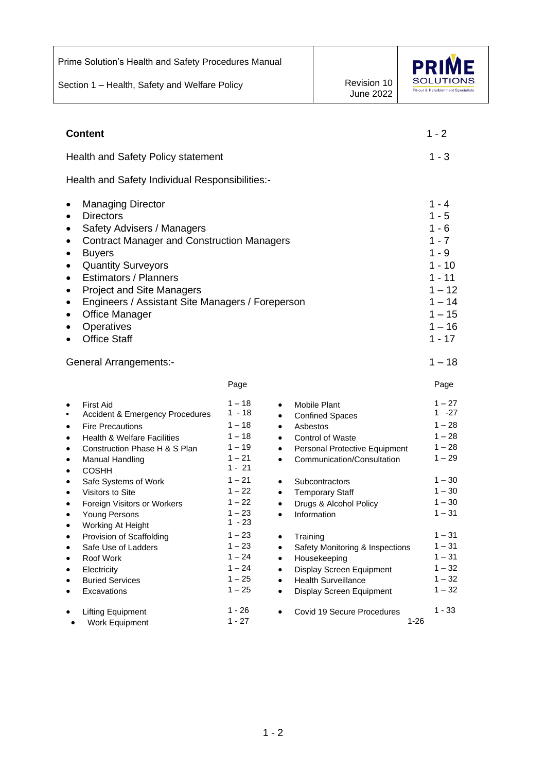| Prime Solution's Health and Safety Procedures Manual                                                                                                                                                                                                                                                                                                                     |                                                                                                                                         |                                                                                        |                                                                                                                                       |                                                                      |
|--------------------------------------------------------------------------------------------------------------------------------------------------------------------------------------------------------------------------------------------------------------------------------------------------------------------------------------------------------------------------|-----------------------------------------------------------------------------------------------------------------------------------------|----------------------------------------------------------------------------------------|---------------------------------------------------------------------------------------------------------------------------------------|----------------------------------------------------------------------|
| Section 1 - Health, Safety and Welfare Policy                                                                                                                                                                                                                                                                                                                            |                                                                                                                                         |                                                                                        | Revision 10<br><b>June 2022</b>                                                                                                       | Fit-out & Refurbishment Specialists                                  |
|                                                                                                                                                                                                                                                                                                                                                                          |                                                                                                                                         |                                                                                        |                                                                                                                                       |                                                                      |
| <b>Content</b>                                                                                                                                                                                                                                                                                                                                                           |                                                                                                                                         |                                                                                        |                                                                                                                                       | $1 - 2$                                                              |
| Health and Safety Policy statement                                                                                                                                                                                                                                                                                                                                       |                                                                                                                                         |                                                                                        |                                                                                                                                       | $1 - 3$                                                              |
| Health and Safety Individual Responsibilities:-                                                                                                                                                                                                                                                                                                                          |                                                                                                                                         |                                                                                        |                                                                                                                                       |                                                                      |
| <b>Managing Director</b><br>٠<br><b>Directors</b><br>Safety Advisers / Managers<br><b>Contract Manager and Construction Managers</b><br><b>Buyers</b><br><b>Quantity Surveyors</b><br><b>Estimators / Planners</b><br><b>Project and Site Managers</b><br>Engineers / Assistant Site Managers / Foreperson<br><b>Office Manager</b><br>Operatives<br><b>Office Staff</b> | $1 - 4$<br>$1 - 5$<br>$1 - 6$<br>$1 - 7$<br>$1 - 9$<br>$1 - 10$<br>$1 - 11$<br>$1 - 12$<br>$1 - 14$<br>$1 - 15$<br>$1 - 16$<br>$1 - 17$ |                                                                                        |                                                                                                                                       |                                                                      |
| <b>General Arrangements:-</b>                                                                                                                                                                                                                                                                                                                                            |                                                                                                                                         |                                                                                        |                                                                                                                                       | $1 - 18$                                                             |
|                                                                                                                                                                                                                                                                                                                                                                          | Page                                                                                                                                    |                                                                                        |                                                                                                                                       | Page                                                                 |
| <b>First Aid</b><br>Accident & Emergency Procedures<br><b>Fire Precautions</b><br><b>Health &amp; Welfare Facilities</b><br>Construction Phase H & S Plan<br>Manual Handling<br><b>COSHH</b>                                                                                                                                                                             | $1 - 18$<br>$1 - 18$<br>$1 - 18$<br>$1 - 18$<br>$1 - 19$<br>$1 - 21$<br>$1 - 21$                                                        | $\bullet$<br>Asbestos<br>$\bullet$<br>$\bullet$<br>$\bullet$                           | <b>Mobile Plant</b><br><b>Confined Spaces</b><br>Control of Waste<br>Personal Protective Equipment<br>Communication/Consultation      | $1 - 27$<br>$1 - 27$<br>$1 - 28$<br>$1 - 28$<br>$1 - 28$<br>$1 - 29$ |
| Safe Systems of Work<br>Visitors to Site<br>Foreign Visitors or Workers<br>Young Persons<br>Working At Height                                                                                                                                                                                                                                                            | $1 - 21$<br>$1 - 22$<br>$1 - 22$<br>$1 - 23$<br>$1 - 23$                                                                                | $\bullet$<br>$\bullet$<br>$\bullet$<br>$\bullet$                                       | Subcontractors<br><b>Temporary Staff</b><br>Drugs & Alcohol Policy<br>Information                                                     | $1 - 30$<br>$1 - 30$<br>$1 - 30$<br>$1 - 31$                         |
| Provision of Scaffolding<br>Safe Use of Ladders<br>Roof Work<br>Electricity<br><b>Buried Services</b><br>Excavations                                                                                                                                                                                                                                                     | $1 - 23$<br>$1 - 23$<br>$1 - 24$<br>$1 - 24$<br>$1 - 25$<br>$1 - 25$                                                                    | Training<br>$\bullet$<br>$\bullet$<br>$\bullet$<br>$\bullet$<br>$\bullet$<br>$\bullet$ | Safety Monitoring & Inspections<br>Housekeeping<br>Display Screen Equipment<br><b>Health Surveillance</b><br>Display Screen Equipment | $1 - 31$<br>$1 - 31$<br>$1 - 31$<br>$1 - 32$<br>$1 - 32$<br>$1 - 32$ |
| <b>Lifting Equipment</b><br>Work Equipment<br>$\bullet$                                                                                                                                                                                                                                                                                                                  | $1 - 26$<br>$1 - 27$                                                                                                                    | $\bullet$                                                                              | Covid 19 Secure Procedures                                                                                                            | $1 - 33$<br>$1 - 26$                                                 |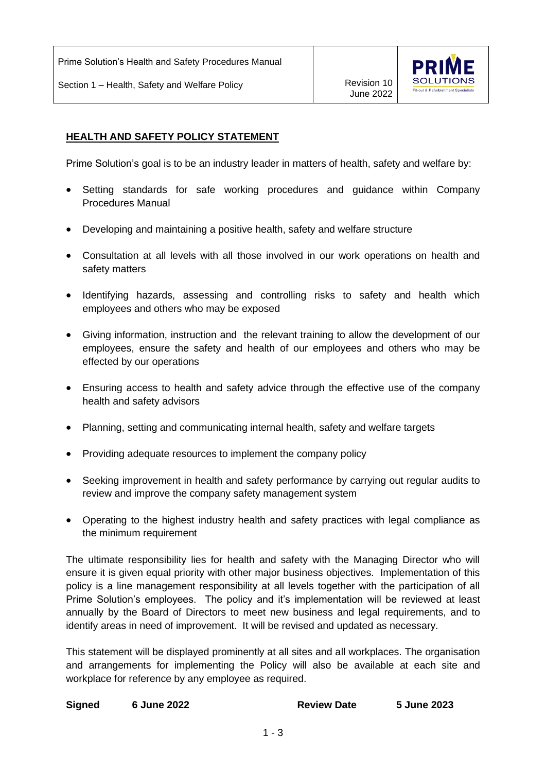Prime Solution's Health and Safety Procedures Manual

Section 1 – Health, Safety and Welfare Policy **Revision 10** Revision 10



# **HEALTH AND SAFETY POLICY STATEMENT**

Prime Solution's goal is to be an industry leader in matters of health, safety and welfare by:

- Setting standards for safe working procedures and guidance within Company Procedures Manual
- Developing and maintaining a positive health, safety and welfare structure
- Consultation at all levels with all those involved in our work operations on health and safety matters
- Identifying hazards, assessing and controlling risks to safety and health which employees and others who may be exposed
- Giving information, instruction and the relevant training to allow the development of our employees, ensure the safety and health of our employees and others who may be effected by our operations
- Ensuring access to health and safety advice through the effective use of the company health and safety advisors
- Planning, setting and communicating internal health, safety and welfare targets
- Providing adequate resources to implement the company policy
- Seeking improvement in health and safety performance by carrying out regular audits to review and improve the company safety management system
- Operating to the highest industry health and safety practices with legal compliance as the minimum requirement

The ultimate responsibility lies for health and safety with the Managing Director who will ensure it is given equal priority with other major business objectives. Implementation of this policy is a line management responsibility at all levels together with the participation of all Prime Solution's employees. The policy and it's implementation will be reviewed at least annually by the Board of Directors to meet new business and legal requirements, and to identify areas in need of improvement. It will be revised and updated as necessary.

This statement will be displayed prominently at all sites and all workplaces. The organisation and arrangements for implementing the Policy will also be available at each site and workplace for reference by any employee as required.

| <b>Signed</b> | <b>6 June 2022</b> | <b>Review Date</b> | 5 June 2023 |
|---------------|--------------------|--------------------|-------------|
|               |                    |                    |             |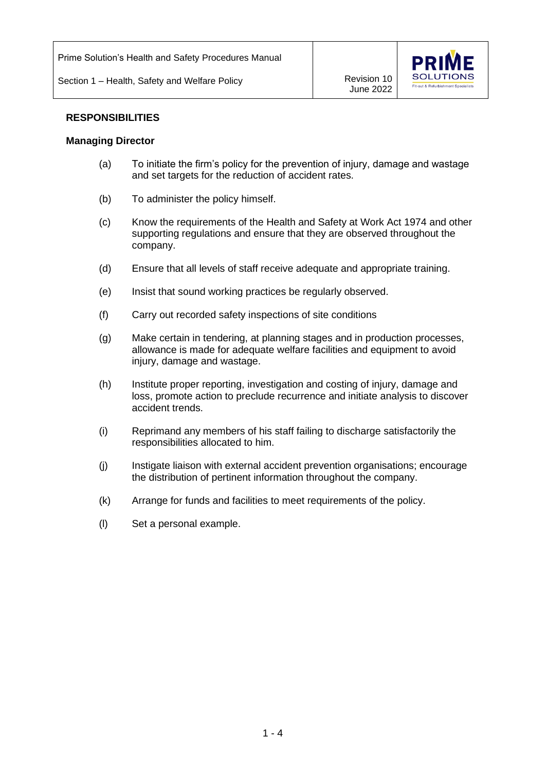

#### **RESPONSIBILITIES**

#### **Managing Director**

- (a) To initiate the firm's policy for the prevention of injury, damage and wastage and set targets for the reduction of accident rates.
- (b) To administer the policy himself.
- (c) Know the requirements of the Health and Safety at Work Act 1974 and other supporting regulations and ensure that they are observed throughout the company.
- (d) Ensure that all levels of staff receive adequate and appropriate training.
- (e) Insist that sound working practices be regularly observed.
- (f) Carry out recorded safety inspections of site conditions
- (g) Make certain in tendering, at planning stages and in production processes, allowance is made for adequate welfare facilities and equipment to avoid injury, damage and wastage.
- (h) Institute proper reporting, investigation and costing of injury, damage and loss, promote action to preclude recurrence and initiate analysis to discover accident trends.
- (i) Reprimand any members of his staff failing to discharge satisfactorily the responsibilities allocated to him.
- (j) Instigate liaison with external accident prevention organisations; encourage the distribution of pertinent information throughout the company.
- (k) Arrange for funds and facilities to meet requirements of the policy.
- (l) Set a personal example.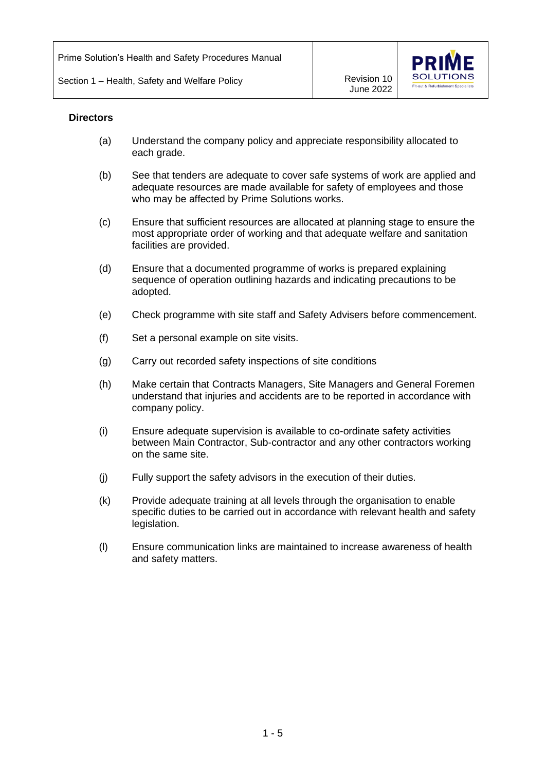

#### **Directors**

- (a) Understand the company policy and appreciate responsibility allocated to each grade.
- (b) See that tenders are adequate to cover safe systems of work are applied and adequate resources are made available for safety of employees and those who may be affected by Prime Solutions works.
- (c) Ensure that sufficient resources are allocated at planning stage to ensure the most appropriate order of working and that adequate welfare and sanitation facilities are provided.
- (d) Ensure that a documented programme of works is prepared explaining sequence of operation outlining hazards and indicating precautions to be adopted.
- (e) Check programme with site staff and Safety Advisers before commencement.
- (f) Set a personal example on site visits.
- (g) Carry out recorded safety inspections of site conditions
- (h) Make certain that Contracts Managers, Site Managers and General Foremen understand that injuries and accidents are to be reported in accordance with company policy.
- (i) Ensure adequate supervision is available to co-ordinate safety activities between Main Contractor, Sub-contractor and any other contractors working on the same site.
- (j) Fully support the safety advisors in the execution of their duties.
- (k) Provide adequate training at all levels through the organisation to enable specific duties to be carried out in accordance with relevant health and safety legislation.
- (l) Ensure communication links are maintained to increase awareness of health and safety matters.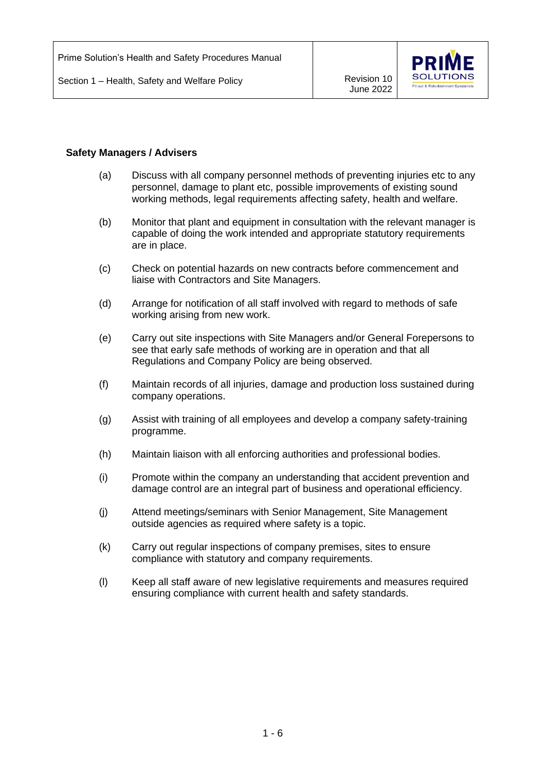Section 1 – Health, Safety and Welfare Policy Marketter Mercision 10



## **Safety Managers / Advisers**

- (a) Discuss with all company personnel methods of preventing injuries etc to any personnel, damage to plant etc, possible improvements of existing sound working methods, legal requirements affecting safety, health and welfare.
- (b) Monitor that plant and equipment in consultation with the relevant manager is capable of doing the work intended and appropriate statutory requirements are in place.
- (c) Check on potential hazards on new contracts before commencement and liaise with Contractors and Site Managers.
- (d) Arrange for notification of all staff involved with regard to methods of safe working arising from new work.
- (e) Carry out site inspections with Site Managers and/or General Forepersons to see that early safe methods of working are in operation and that all Regulations and Company Policy are being observed.
- (f) Maintain records of all injuries, damage and production loss sustained during company operations.
- (g) Assist with training of all employees and develop a company safety-training programme.
- (h) Maintain liaison with all enforcing authorities and professional bodies.
- (i) Promote within the company an understanding that accident prevention and damage control are an integral part of business and operational efficiency.
- (j) Attend meetings/seminars with Senior Management, Site Management outside agencies as required where safety is a topic.
- (k) Carry out regular inspections of company premises, sites to ensure compliance with statutory and company requirements.
- (l) Keep all staff aware of new legislative requirements and measures required ensuring compliance with current health and safety standards.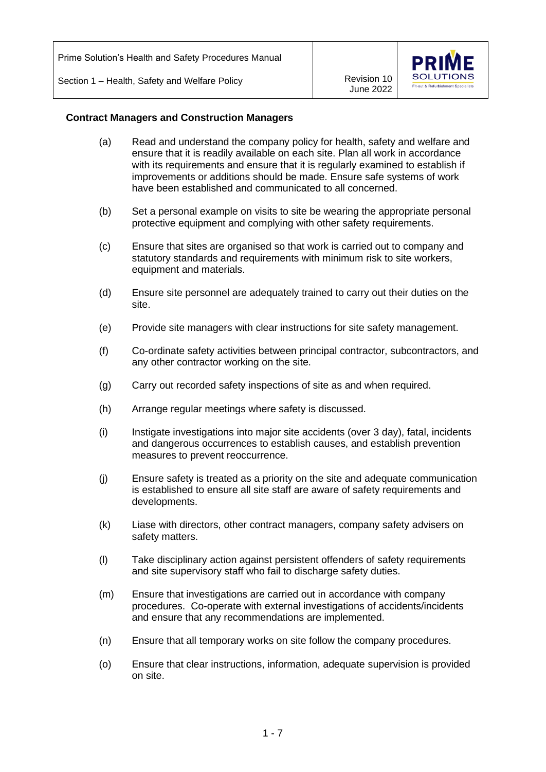

#### **Contract Managers and Construction Managers**

- (a) Read and understand the company policy for health, safety and welfare and ensure that it is readily available on each site. Plan all work in accordance with its requirements and ensure that it is regularly examined to establish if improvements or additions should be made. Ensure safe systems of work have been established and communicated to all concerned.
- (b) Set a personal example on visits to site be wearing the appropriate personal protective equipment and complying with other safety requirements.
- (c) Ensure that sites are organised so that work is carried out to company and statutory standards and requirements with minimum risk to site workers, equipment and materials.
- (d) Ensure site personnel are adequately trained to carry out their duties on the site.
- (e) Provide site managers with clear instructions for site safety management.
- (f) Co-ordinate safety activities between principal contractor, subcontractors, and any other contractor working on the site.
- (g) Carry out recorded safety inspections of site as and when required.
- (h) Arrange regular meetings where safety is discussed.
- (i) Instigate investigations into major site accidents (over 3 day), fatal, incidents and dangerous occurrences to establish causes, and establish prevention measures to prevent reoccurrence.
- (j) Ensure safety is treated as a priority on the site and adequate communication is established to ensure all site staff are aware of safety requirements and developments.
- (k) Liase with directors, other contract managers, company safety advisers on safety matters.
- (l) Take disciplinary action against persistent offenders of safety requirements and site supervisory staff who fail to discharge safety duties.
- (m) Ensure that investigations are carried out in accordance with company procedures. Co-operate with external investigations of accidents/incidents and ensure that any recommendations are implemented.
- (n) Ensure that all temporary works on site follow the company procedures.
- (o) Ensure that clear instructions, information, adequate supervision is provided on site.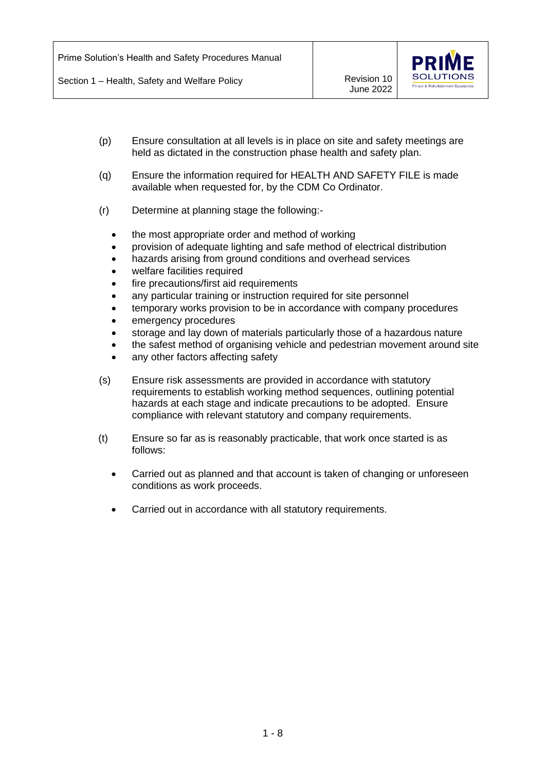

- (p) Ensure consultation at all levels is in place on site and safety meetings are held as dictated in the construction phase health and safety plan.
- (q) Ensure the information required for HEALTH AND SAFETY FILE is made available when requested for, by the CDM Co Ordinator.
- (r) Determine at planning stage the following:-
	- the most appropriate order and method of working
	- provision of adequate lighting and safe method of electrical distribution
	- hazards arising from ground conditions and overhead services
	- welfare facilities required
	- fire precautions/first aid requirements
	- any particular training or instruction required for site personnel
	- temporary works provision to be in accordance with company procedures
	- emergency procedures
	- storage and lay down of materials particularly those of a hazardous nature
	- the safest method of organising vehicle and pedestrian movement around site
	- any other factors affecting safety
- (s) Ensure risk assessments are provided in accordance with statutory requirements to establish working method sequences, outlining potential hazards at each stage and indicate precautions to be adopted. Ensure compliance with relevant statutory and company requirements.
- (t) Ensure so far as is reasonably practicable, that work once started is as follows:
	- Carried out as planned and that account is taken of changing or unforeseen conditions as work proceeds.
	- Carried out in accordance with all statutory requirements.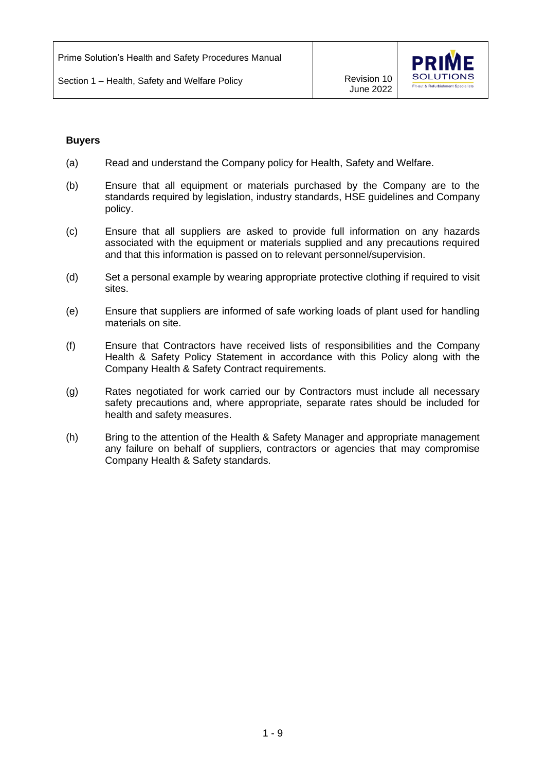

#### **Buyers**

- (a) Read and understand the Company policy for Health, Safety and Welfare.
- (b) Ensure that all equipment or materials purchased by the Company are to the standards required by legislation, industry standards, HSE guidelines and Company policy.
- (c) Ensure that all suppliers are asked to provide full information on any hazards associated with the equipment or materials supplied and any precautions required and that this information is passed on to relevant personnel/supervision.
- (d) Set a personal example by wearing appropriate protective clothing if required to visit sites.
- (e) Ensure that suppliers are informed of safe working loads of plant used for handling materials on site.
- (f) Ensure that Contractors have received lists of responsibilities and the Company Health & Safety Policy Statement in accordance with this Policy along with the Company Health & Safety Contract requirements.
- (g) Rates negotiated for work carried our by Contractors must include all necessary safety precautions and, where appropriate, separate rates should be included for health and safety measures.
- (h) Bring to the attention of the Health & Safety Manager and appropriate management any failure on behalf of suppliers, contractors or agencies that may compromise Company Health & Safety standards.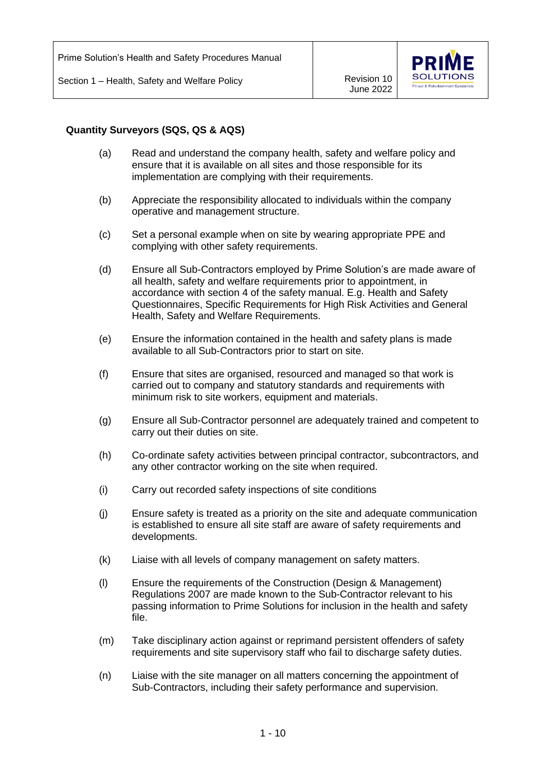

## **Quantity Surveyors (SQS, QS & AQS)**

- (a) Read and understand the company health, safety and welfare policy and ensure that it is available on all sites and those responsible for its implementation are complying with their requirements.
- (b) Appreciate the responsibility allocated to individuals within the company operative and management structure.
- (c) Set a personal example when on site by wearing appropriate PPE and complying with other safety requirements.
- (d) Ensure all Sub-Contractors employed by Prime Solution's are made aware of all health, safety and welfare requirements prior to appointment, in accordance with section 4 of the safety manual. E.g. Health and Safety Questionnaires, Specific Requirements for High Risk Activities and General Health, Safety and Welfare Requirements.
- (e) Ensure the information contained in the health and safety plans is made available to all Sub-Contractors prior to start on site.
- (f) Ensure that sites are organised, resourced and managed so that work is carried out to company and statutory standards and requirements with minimum risk to site workers, equipment and materials.
- (g) Ensure all Sub-Contractor personnel are adequately trained and competent to carry out their duties on site.
- (h) Co-ordinate safety activities between principal contractor, subcontractors, and any other contractor working on the site when required.
- (i) Carry out recorded safety inspections of site conditions
- (j) Ensure safety is treated as a priority on the site and adequate communication is established to ensure all site staff are aware of safety requirements and developments.
- (k) Liaise with all levels of company management on safety matters.
- (l) Ensure the requirements of the Construction (Design & Management) Regulations 2007 are made known to the Sub-Contractor relevant to his passing information to Prime Solutions for inclusion in the health and safety file.
- (m) Take disciplinary action against or reprimand persistent offenders of safety requirements and site supervisory staff who fail to discharge safety duties.
- (n) Liaise with the site manager on all matters concerning the appointment of Sub-Contractors, including their safety performance and supervision.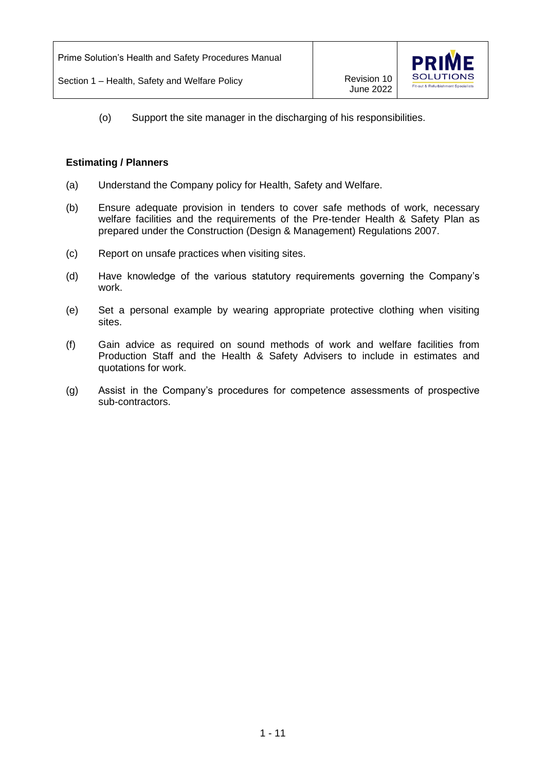

(o) Support the site manager in the discharging of his responsibilities.

## **Estimating / Planners**

- (a) Understand the Company policy for Health, Safety and Welfare.
- (b) Ensure adequate provision in tenders to cover safe methods of work, necessary welfare facilities and the requirements of the Pre-tender Health & Safety Plan as prepared under the Construction (Design & Management) Regulations 2007.
- (c) Report on unsafe practices when visiting sites.
- (d) Have knowledge of the various statutory requirements governing the Company's work.
- (e) Set a personal example by wearing appropriate protective clothing when visiting sites.
- (f) Gain advice as required on sound methods of work and welfare facilities from Production Staff and the Health & Safety Advisers to include in estimates and quotations for work.
- (g) Assist in the Company's procedures for competence assessments of prospective sub-contractors.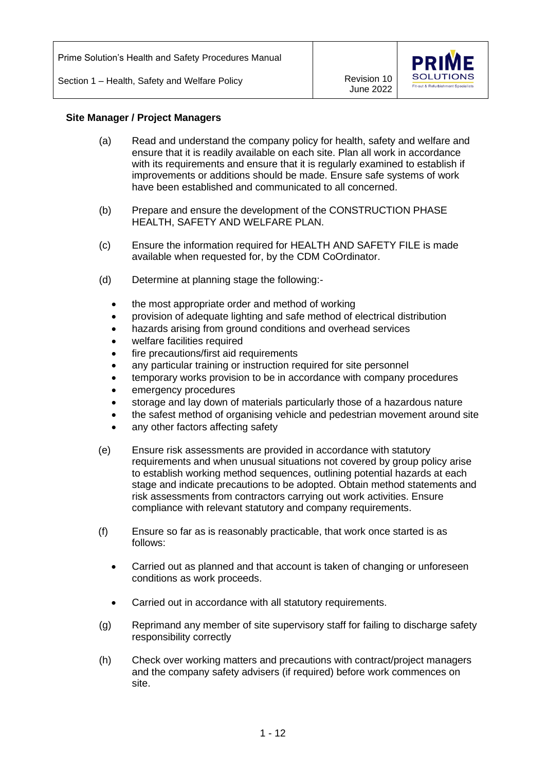

## **Site Manager / Project Managers**

- (a) Read and understand the company policy for health, safety and welfare and ensure that it is readily available on each site. Plan all work in accordance with its requirements and ensure that it is regularly examined to establish if improvements or additions should be made. Ensure safe systems of work have been established and communicated to all concerned.
- (b) Prepare and ensure the development of the CONSTRUCTION PHASE HEALTH, SAFETY AND WELFARE PLAN.
- (c) Ensure the information required for HEALTH AND SAFETY FILE is made available when requested for, by the CDM CoOrdinator.
- (d) Determine at planning stage the following:
	- the most appropriate order and method of working
	- provision of adequate lighting and safe method of electrical distribution
	- hazards arising from ground conditions and overhead services
	- welfare facilities required
	- fire precautions/first aid requirements
	- any particular training or instruction required for site personnel
	- temporary works provision to be in accordance with company procedures
	- emergency procedures
	- storage and lay down of materials particularly those of a hazardous nature
	- the safest method of organising vehicle and pedestrian movement around site
	- any other factors affecting safety
- (e) Ensure risk assessments are provided in accordance with statutory requirements and when unusual situations not covered by group policy arise to establish working method sequences, outlining potential hazards at each stage and indicate precautions to be adopted. Obtain method statements and risk assessments from contractors carrying out work activities. Ensure compliance with relevant statutory and company requirements.
- (f) Ensure so far as is reasonably practicable, that work once started is as follows:
	- Carried out as planned and that account is taken of changing or unforeseen conditions as work proceeds.
	- Carried out in accordance with all statutory requirements.
- (g) Reprimand any member of site supervisory staff for failing to discharge safety responsibility correctly
- (h) Check over working matters and precautions with contract/project managers and the company safety advisers (if required) before work commences on site.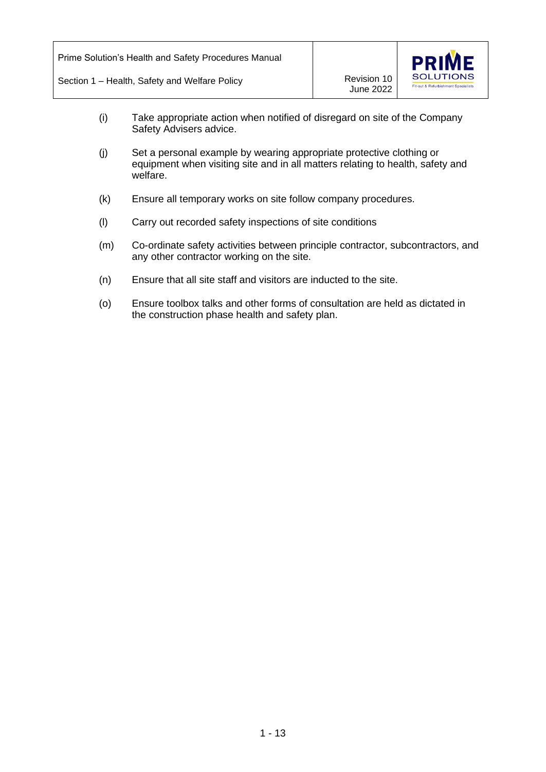

- (i) Take appropriate action when notified of disregard on site of the Company Safety Advisers advice.
- (j) Set a personal example by wearing appropriate protective clothing or equipment when visiting site and in all matters relating to health, safety and welfare.
- (k) Ensure all temporary works on site follow company procedures.
- (l) Carry out recorded safety inspections of site conditions
- (m) Co-ordinate safety activities between principle contractor, subcontractors, and any other contractor working on the site.
- (n) Ensure that all site staff and visitors are inducted to the site.
- (o) Ensure toolbox talks and other forms of consultation are held as dictated in the construction phase health and safety plan.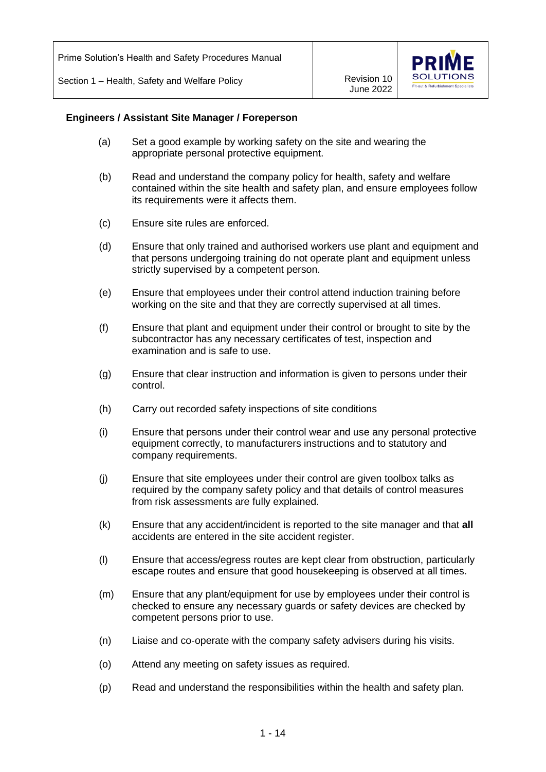Prime Solution's Health and Safety Procedures Manual

Section 1 – Health, Safety and Welfare Policy **Revision 10** Revision 10

June 2022



#### **Engineers / Assistant Site Manager / Foreperson**

- (a) Set a good example by working safety on the site and wearing the appropriate personal protective equipment.
- (b) Read and understand the company policy for health, safety and welfare contained within the site health and safety plan, and ensure employees follow its requirements were it affects them.
- (c) Ensure site rules are enforced.
- (d) Ensure that only trained and authorised workers use plant and equipment and that persons undergoing training do not operate plant and equipment unless strictly supervised by a competent person.
- (e) Ensure that employees under their control attend induction training before working on the site and that they are correctly supervised at all times.
- (f) Ensure that plant and equipment under their control or brought to site by the subcontractor has any necessary certificates of test, inspection and examination and is safe to use.
- (g) Ensure that clear instruction and information is given to persons under their control.
- (h) Carry out recorded safety inspections of site conditions
- (i) Ensure that persons under their control wear and use any personal protective equipment correctly, to manufacturers instructions and to statutory and company requirements.
- (j) Ensure that site employees under their control are given toolbox talks as required by the company safety policy and that details of control measures from risk assessments are fully explained.
- (k) Ensure that any accident/incident is reported to the site manager and that **all**  accidents are entered in the site accident register.
- (l) Ensure that access/egress routes are kept clear from obstruction, particularly escape routes and ensure that good housekeeping is observed at all times.
- (m) Ensure that any plant/equipment for use by employees under their control is checked to ensure any necessary guards or safety devices are checked by competent persons prior to use.
- (n) Liaise and co-operate with the company safety advisers during his visits.
- (o) Attend any meeting on safety issues as required.
- (p) Read and understand the responsibilities within the health and safety plan.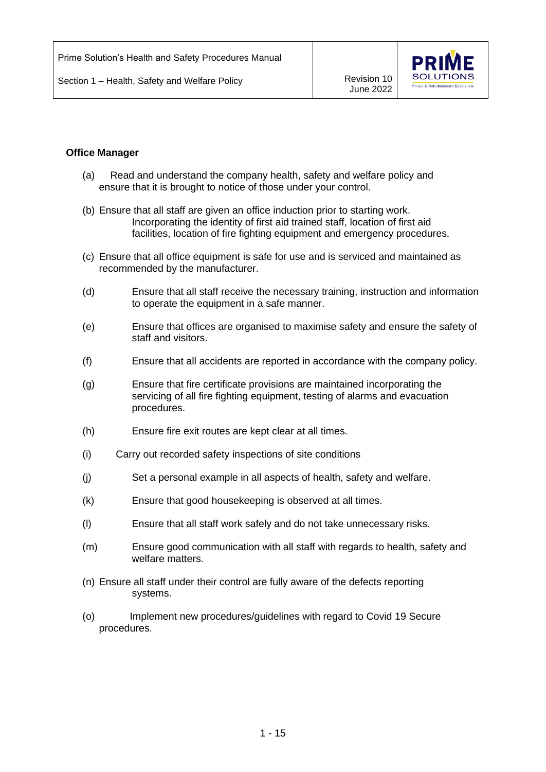

#### **Office Manager**

- (a) Read and understand the company health, safety and welfare policy and ensure that it is brought to notice of those under your control.
- (b) Ensure that all staff are given an office induction prior to starting work. Incorporating the identity of first aid trained staff, location of first aid facilities, location of fire fighting equipment and emergency procedures.
- (c) Ensure that all office equipment is safe for use and is serviced and maintained as recommended by the manufacturer.
- (d) Ensure that all staff receive the necessary training, instruction and information to operate the equipment in a safe manner.
- (e) Ensure that offices are organised to maximise safety and ensure the safety of staff and visitors.
- (f) Ensure that all accidents are reported in accordance with the company policy.
- (g) Ensure that fire certificate provisions are maintained incorporating the servicing of all fire fighting equipment, testing of alarms and evacuation procedures.
- (h) Ensure fire exit routes are kept clear at all times.
- (i) Carry out recorded safety inspections of site conditions
- (j) Set a personal example in all aspects of health, safety and welfare.
- (k) Ensure that good housekeeping is observed at all times.
- (l) Ensure that all staff work safely and do not take unnecessary risks.
- (m) Ensure good communication with all staff with regards to health, safety and welfare matters.
- (n) Ensure all staff under their control are fully aware of the defects reporting systems.
- (o) Implement new procedures/guidelines with regard to Covid 19 Secure procedures.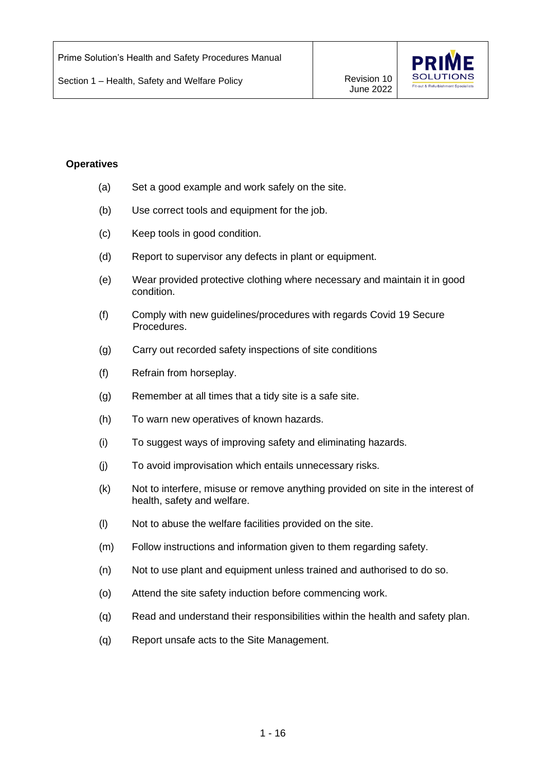

#### **Operatives**

- (a) Set a good example and work safely on the site.
- (b) Use correct tools and equipment for the job.
- (c) Keep tools in good condition.
- (d) Report to supervisor any defects in plant or equipment.
- (e) Wear provided protective clothing where necessary and maintain it in good condition.
- (f) Comply with new guidelines/procedures with regards Covid 19 Secure Procedures.
- (g) Carry out recorded safety inspections of site conditions
- (f) Refrain from horseplay.
- (g) Remember at all times that a tidy site is a safe site.
- (h) To warn new operatives of known hazards.
- (i) To suggest ways of improving safety and eliminating hazards.
- (j) To avoid improvisation which entails unnecessary risks.
- (k) Not to interfere, misuse or remove anything provided on site in the interest of health, safety and welfare.
- (l) Not to abuse the welfare facilities provided on the site.
- (m) Follow instructions and information given to them regarding safety.
- (n) Not to use plant and equipment unless trained and authorised to do so.
- (o) Attend the site safety induction before commencing work.
- (q) Read and understand their responsibilities within the health and safety plan.
- (q) Report unsafe acts to the Site Management.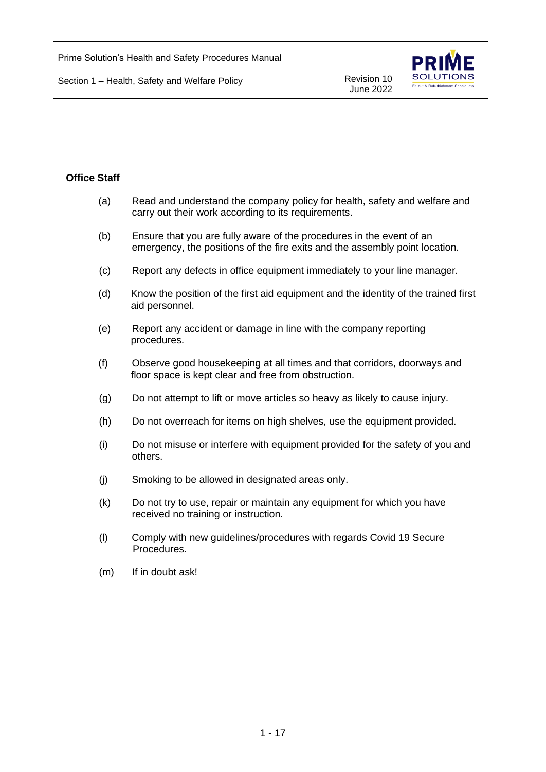

## **Office Staff**

- (a) Read and understand the company policy for health, safety and welfare and carry out their work according to its requirements.
- (b) Ensure that you are fully aware of the procedures in the event of an emergency, the positions of the fire exits and the assembly point location.
- (c) Report any defects in office equipment immediately to your line manager.
- (d) Know the position of the first aid equipment and the identity of the trained first aid personnel.
- (e) Report any accident or damage in line with the company reporting procedures.
- (f) Observe good housekeeping at all times and that corridors, doorways and floor space is kept clear and free from obstruction.
- (g) Do not attempt to lift or move articles so heavy as likely to cause injury.
- (h) Do not overreach for items on high shelves, use the equipment provided.
- (i) Do not misuse or interfere with equipment provided for the safety of you and others.
- (j) Smoking to be allowed in designated areas only.
- (k) Do not try to use, repair or maintain any equipment for which you have received no training or instruction.
- (l) Comply with new guidelines/procedures with regards Covid 19 Secure Procedures.
- (m) If in doubt ask!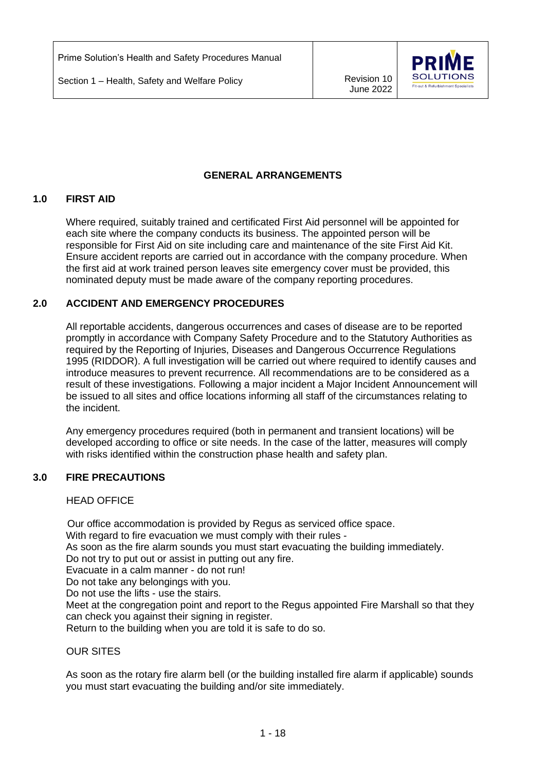

## **GENERAL ARRANGEMENTS**

#### **1.0 FIRST AID**

Where required, suitably trained and certificated First Aid personnel will be appointed for each site where the company conducts its business. The appointed person will be responsible for First Aid on site including care and maintenance of the site First Aid Kit. Ensure accident reports are carried out in accordance with the company procedure. When the first aid at work trained person leaves site emergency cover must be provided, this nominated deputy must be made aware of the company reporting procedures.

#### **2.0 ACCIDENT AND EMERGENCY PROCEDURES**

All reportable accidents, dangerous occurrences and cases of disease are to be reported promptly in accordance with Company Safety Procedure and to the Statutory Authorities as required by the Reporting of Injuries, Diseases and Dangerous Occurrence Regulations 1995 (RIDDOR). A full investigation will be carried out where required to identify causes and introduce measures to prevent recurrence. All recommendations are to be considered as a result of these investigations. Following a major incident a Major Incident Announcement will be issued to all sites and office locations informing all staff of the circumstances relating to the incident.

Any emergency procedures required (both in permanent and transient locations) will be developed according to office or site needs. In the case of the latter, measures will comply with risks identified within the construction phase health and safety plan.

#### **3.0 FIRE PRECAUTIONS**

#### HEAD OFFICE

Our office accommodation is provided by Regus as serviced office space.

With regard to fire evacuation we must comply with their rules -

As soon as the fire alarm sounds you must start evacuating the building immediately. Do not try to put out or assist in putting out any fire.

Evacuate in a calm manner - do not run!

Do not take any belongings with you.

Do not use the lifts - use the stairs.

Meet at the congregation point and report to the Regus appointed Fire Marshall so that they can check you against their signing in register.

Return to the building when you are told it is safe to do so.

#### OUR SITES

As soon as the rotary fire alarm bell (or the building installed fire alarm if applicable) sounds you must start evacuating the building and/or site immediately.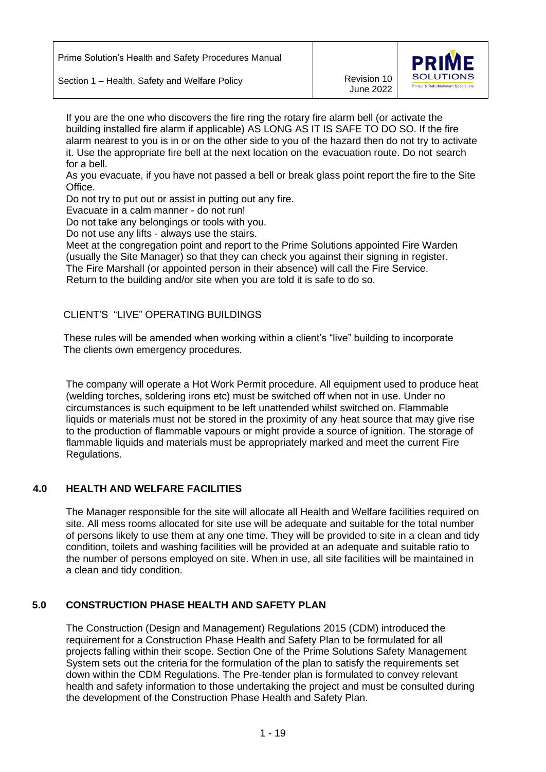June 2022



If you are the one who discovers the fire ring the rotary fire alarm bell (or activate the building installed fire alarm if applicable) AS LONG AS IT IS SAFE TO DO SO. If the fire alarm nearest to you is in or on the other side to you of the hazard then do not try to activate it. Use the appropriate fire bell at the next location on the evacuation route. Do not search for a bell.

As you evacuate, if you have not passed a bell or break glass point report the fire to the Site Office.

Do not try to put out or assist in putting out any fire.

Evacuate in a calm manner - do not run!

Do not take any belongings or tools with you.

Do not use any lifts - always use the stairs.

Meet at the congregation point and report to the Prime Solutions appointed Fire Warden (usually the Site Manager) so that they can check you against their signing in register. The Fire Marshall (or appointed person in their absence) will call the Fire Service. Return to the building and/or site when you are told it is safe to do so.

## CLIENT'S "LIVE" OPERATING BUILDINGS

 These rules will be amended when working within a client's "live" building to incorporate The clients own emergency procedures.

The company will operate a Hot Work Permit procedure. All equipment used to produce heat (welding torches, soldering irons etc) must be switched off when not in use. Under no circumstances is such equipment to be left unattended whilst switched on. Flammable liquids or materials must not be stored in the proximity of any heat source that may give rise to the production of flammable vapours or might provide a source of ignition. The storage of flammable liquids and materials must be appropriately marked and meet the current Fire Regulations.

## **4.0 HEALTH AND WELFARE FACILITIES**

The Manager responsible for the site will allocate all Health and Welfare facilities required on site. All mess rooms allocated for site use will be adequate and suitable for the total number of persons likely to use them at any one time. They will be provided to site in a clean and tidy condition, toilets and washing facilities will be provided at an adequate and suitable ratio to the number of persons employed on site. When in use, all site facilities will be maintained in a clean and tidy condition.

#### **5.0 CONSTRUCTION PHASE HEALTH AND SAFETY PLAN**

The Construction (Design and Management) Regulations 2015 (CDM) introduced the requirement for a Construction Phase Health and Safety Plan to be formulated for all projects falling within their scope. Section One of the Prime Solutions Safety Management System sets out the criteria for the formulation of the plan to satisfy the requirements set down within the CDM Regulations. The Pre-tender plan is formulated to convey relevant health and safety information to those undertaking the project and must be consulted during the development of the Construction Phase Health and Safety Plan.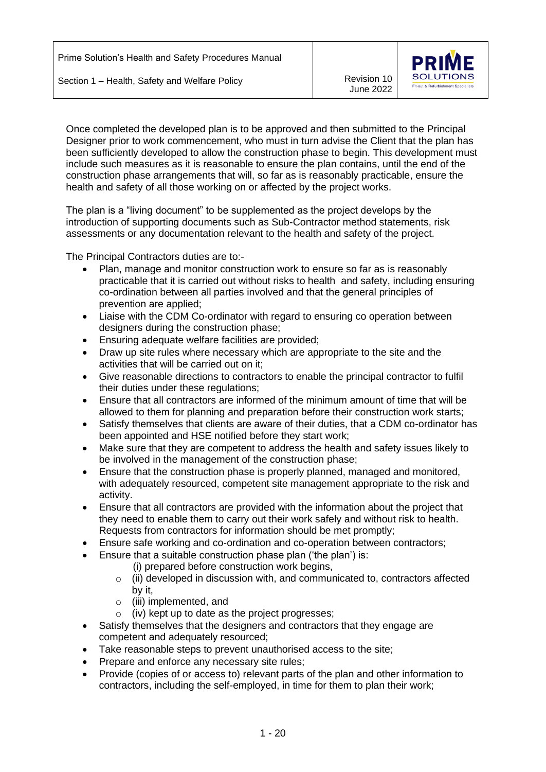

Once completed the developed plan is to be approved and then submitted to the Principal Designer prior to work commencement, who must in turn advise the Client that the plan has been sufficiently developed to allow the construction phase to begin. This development must include such measures as it is reasonable to ensure the plan contains, until the end of the construction phase arrangements that will, so far as is reasonably practicable, ensure the health and safety of all those working on or affected by the project works.

The plan is a "living document" to be supplemented as the project develops by the introduction of supporting documents such as Sub-Contractor method statements, risk assessments or any documentation relevant to the health and safety of the project.

The Principal Contractors duties are to:-

- Plan, manage and monitor construction work to ensure so far as is reasonably practicable that it is carried out without risks to health and safety, including ensuring co-ordination between all parties involved and that the general principles of prevention are applied;
- Liaise with the CDM Co-ordinator with regard to ensuring co operation between designers during the construction phase;
- Ensuring adequate welfare facilities are provided;
- Draw up site rules where necessary which are appropriate to the site and the activities that will be carried out on it;
- Give reasonable directions to contractors to enable the principal contractor to fulfil their duties under these regulations;
- Ensure that all contractors are informed of the minimum amount of time that will be allowed to them for planning and preparation before their construction work starts;
- Satisfy themselves that clients are aware of their duties, that a CDM co-ordinator has been appointed and HSE notified before they start work;
- Make sure that they are competent to address the health and safety issues likely to be involved in the management of the construction phase;
- Ensure that the construction phase is properly planned, managed and monitored, with adequately resourced, competent site management appropriate to the risk and activity.
- Ensure that all contractors are provided with the information about the project that they need to enable them to carry out their work safely and without risk to health. Requests from contractors for information should be met promptly;
- Ensure safe working and co-ordination and co-operation between contractors;
- Ensure that a suitable construction phase plan ('the plan') is:
	- (i) prepared before construction work begins,
	- o (ii) developed in discussion with, and communicated to, contractors affected by it,
	- o (iii) implemented, and
	- $\circ$  (iv) kept up to date as the project progresses;
- Satisfy themselves that the designers and contractors that they engage are competent and adequately resourced;
- Take reasonable steps to prevent unauthorised access to the site;
- Prepare and enforce any necessary site rules;
- Provide (copies of or access to) relevant parts of the plan and other information to contractors, including the self-employed, in time for them to plan their work;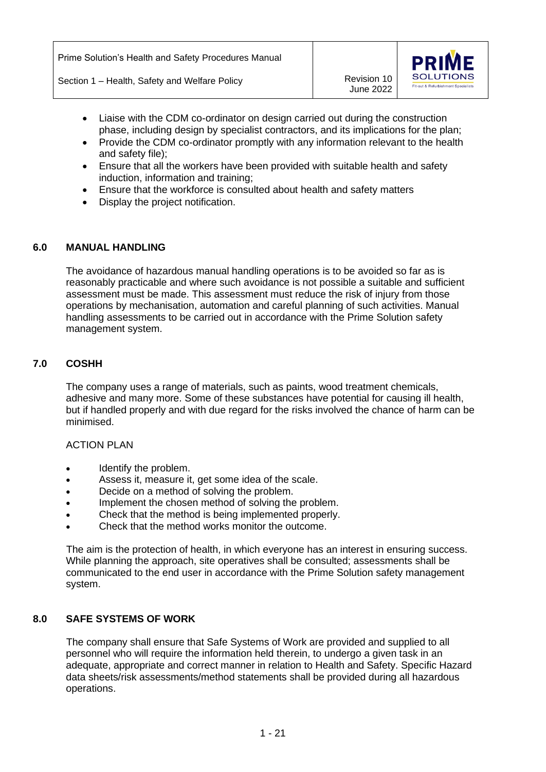June 2022



- Liaise with the CDM co-ordinator on design carried out during the construction phase, including design by specialist contractors, and its implications for the plan;
- Provide the CDM co-ordinator promptly with any information relevant to the health and safety file);
- Ensure that all the workers have been provided with suitable health and safety induction, information and training;
- Ensure that the workforce is consulted about health and safety matters
- Display the project notification.

#### **6.0 MANUAL HANDLING**

The avoidance of hazardous manual handling operations is to be avoided so far as is reasonably practicable and where such avoidance is not possible a suitable and sufficient assessment must be made. This assessment must reduce the risk of injury from those operations by mechanisation, automation and careful planning of such activities. Manual handling assessments to be carried out in accordance with the Prime Solution safety management system.

#### **7.0 COSHH**

The company uses a range of materials, such as paints, wood treatment chemicals, adhesive and many more. Some of these substances have potential for causing ill health, but if handled properly and with due regard for the risks involved the chance of harm can be minimised.

#### ACTION PLAN

- Identify the problem.
- Assess it, measure it, get some idea of the scale.
- Decide on a method of solving the problem.
- Implement the chosen method of solving the problem.
- Check that the method is being implemented properly.
- Check that the method works monitor the outcome.

The aim is the protection of health, in which everyone has an interest in ensuring success. While planning the approach, site operatives shall be consulted; assessments shall be communicated to the end user in accordance with the Prime Solution safety management system.

#### **8.0 SAFE SYSTEMS OF WORK**

The company shall ensure that Safe Systems of Work are provided and supplied to all personnel who will require the information held therein, to undergo a given task in an adequate, appropriate and correct manner in relation to Health and Safety. Specific Hazard data sheets/risk assessments/method statements shall be provided during all hazardous operations.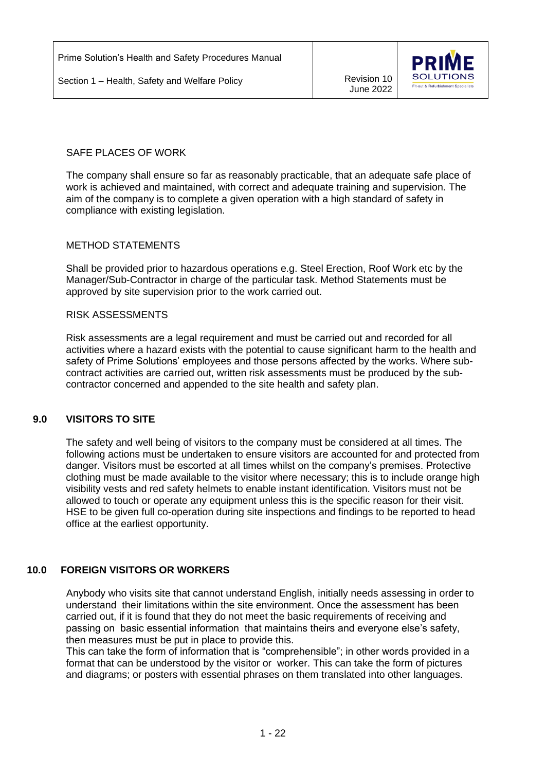June 2022



## SAFF PLACES OF WORK

The company shall ensure so far as reasonably practicable, that an adequate safe place of work is achieved and maintained, with correct and adequate training and supervision. The aim of the company is to complete a given operation with a high standard of safety in compliance with existing legislation.

#### METHOD STATEMENTS

Shall be provided prior to hazardous operations e.g. Steel Erection, Roof Work etc by the Manager/Sub-Contractor in charge of the particular task. Method Statements must be approved by site supervision prior to the work carried out.

#### RISK ASSESSMENTS

Risk assessments are a legal requirement and must be carried out and recorded for all activities where a hazard exists with the potential to cause significant harm to the health and safety of Prime Solutions' employees and those persons affected by the works. Where subcontract activities are carried out, written risk assessments must be produced by the subcontractor concerned and appended to the site health and safety plan.

#### **9.0 VISITORS TO SITE**

The safety and well being of visitors to the company must be considered at all times. The following actions must be undertaken to ensure visitors are accounted for and protected from danger. Visitors must be escorted at all times whilst on the company's premises. Protective clothing must be made available to the visitor where necessary; this is to include orange high visibility vests and red safety helmets to enable instant identification. Visitors must not be allowed to touch or operate any equipment unless this is the specific reason for their visit. HSE to be given full co-operation during site inspections and findings to be reported to head office at the earliest opportunity.

#### **10.0 FOREIGN VISITORS OR WORKERS**

Anybody who visits site that cannot understand English, initially needs assessing in order to understand their limitations within the site environment. Once the assessment has been carried out, if it is found that they do not meet the basic requirements of receiving and passing on basic essential information that maintains theirs and everyone else's safety, then measures must be put in place to provide this.

 This can take the form of information that is "comprehensible"; in other words provided in a format that can be understood by the visitor or worker. This can take the form of pictures and diagrams; or posters with essential phrases on them translated into other languages.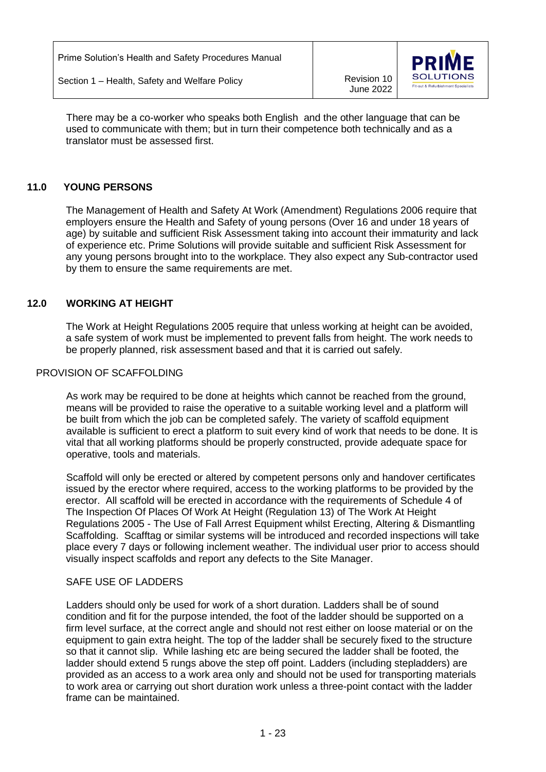June 2022



 There may be a co-worker who speaks both English and the other language that can be used to communicate with them; but in turn their competence both technically and as a translator must be assessed first.

## **11.0 YOUNG PERSONS**

The Management of Health and Safety At Work (Amendment) Regulations 2006 require that employers ensure the Health and Safety of young persons (Over 16 and under 18 years of age) by suitable and sufficient Risk Assessment taking into account their immaturity and lack of experience etc. Prime Solutions will provide suitable and sufficient Risk Assessment for any young persons brought into to the workplace. They also expect any Sub-contractor used by them to ensure the same requirements are met.

## **12.0 WORKING AT HEIGHT**

The Work at Height Regulations 2005 require that unless working at height can be avoided, a safe system of work must be implemented to prevent falls from height. The work needs to be properly planned, risk assessment based and that it is carried out safely.

#### PROVISION OF SCAFFOLDING

As work may be required to be done at heights which cannot be reached from the ground, means will be provided to raise the operative to a suitable working level and a platform will be built from which the job can be completed safely. The variety of scaffold equipment available is sufficient to erect a platform to suit every kind of work that needs to be done. It is vital that all working platforms should be properly constructed, provide adequate space for operative, tools and materials.

Scaffold will only be erected or altered by competent persons only and handover certificates issued by the erector where required, access to the working platforms to be provided by the erector. All scaffold will be erected in accordance with the requirements of Schedule 4 of The Inspection Of Places Of Work At Height (Regulation 13) of The Work At Height Regulations 2005 - The Use of Fall Arrest Equipment whilst Erecting, Altering & Dismantling Scaffolding. Scafftag or similar systems will be introduced and recorded inspections will take place every 7 days or following inclement weather. The individual user prior to access should visually inspect scaffolds and report any defects to the Site Manager.

#### SAFE USE OF LADDERS

Ladders should only be used for work of a short duration. Ladders shall be of sound condition and fit for the purpose intended, the foot of the ladder should be supported on a firm level surface, at the correct angle and should not rest either on loose material or on the equipment to gain extra height. The top of the ladder shall be securely fixed to the structure so that it cannot slip. While lashing etc are being secured the ladder shall be footed, the ladder should extend 5 rungs above the step off point. Ladders (including stepladders) are provided as an access to a work area only and should not be used for transporting materials to work area or carrying out short duration work unless a three-point contact with the ladder frame can be maintained.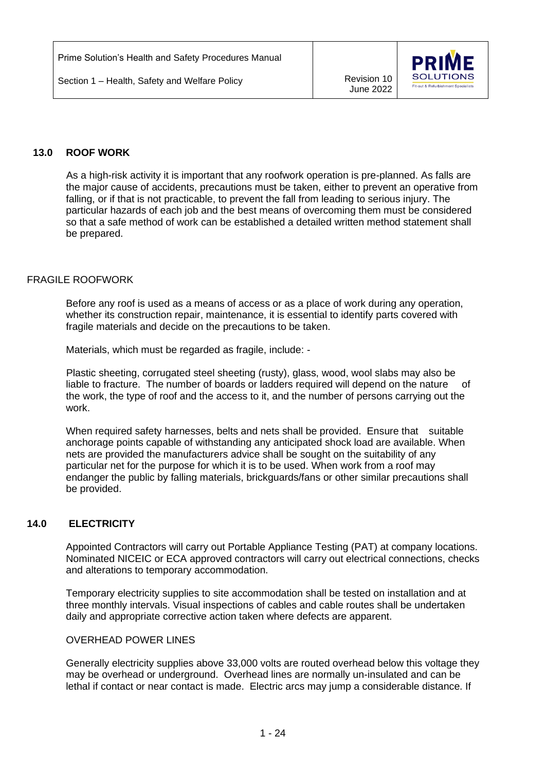June 2022



## **13.0 ROOF WORK**

As a high-risk activity it is important that any roofwork operation is pre-planned. As falls are the major cause of accidents, precautions must be taken, either to prevent an operative from falling, or if that is not practicable, to prevent the fall from leading to serious injury. The particular hazards of each job and the best means of overcoming them must be considered so that a safe method of work can be established a detailed written method statement shall be prepared.

#### FRAGILE ROOFWORK

Before any roof is used as a means of access or as a place of work during any operation, whether its construction repair, maintenance, it is essential to identify parts covered with fragile materials and decide on the precautions to be taken.

Materials, which must be regarded as fragile, include: -

Plastic sheeting, corrugated steel sheeting (rusty), glass, wood, wool slabs may also be liable to fracture. The number of boards or ladders required will depend on the nature of the work, the type of roof and the access to it, and the number of persons carrying out the work.

When required safety harnesses, belts and nets shall be provided. Ensure that suitable anchorage points capable of withstanding any anticipated shock load are available. When nets are provided the manufacturers advice shall be sought on the suitability of any particular net for the purpose for which it is to be used. When work from a roof may endanger the public by falling materials, brickguards/fans or other similar precautions shall be provided.

## **14.0 ELECTRICITY**

Appointed Contractors will carry out Portable Appliance Testing (PAT) at company locations. Nominated NICEIC or ECA approved contractors will carry out electrical connections, checks and alterations to temporary accommodation.

Temporary electricity supplies to site accommodation shall be tested on installation and at three monthly intervals. Visual inspections of cables and cable routes shall be undertaken daily and appropriate corrective action taken where defects are apparent.

#### OVERHEAD POWER LINES

Generally electricity supplies above 33,000 volts are routed overhead below this voltage they may be overhead or underground. Overhead lines are normally un-insulated and can be lethal if contact or near contact is made. Electric arcs may jump a considerable distance. If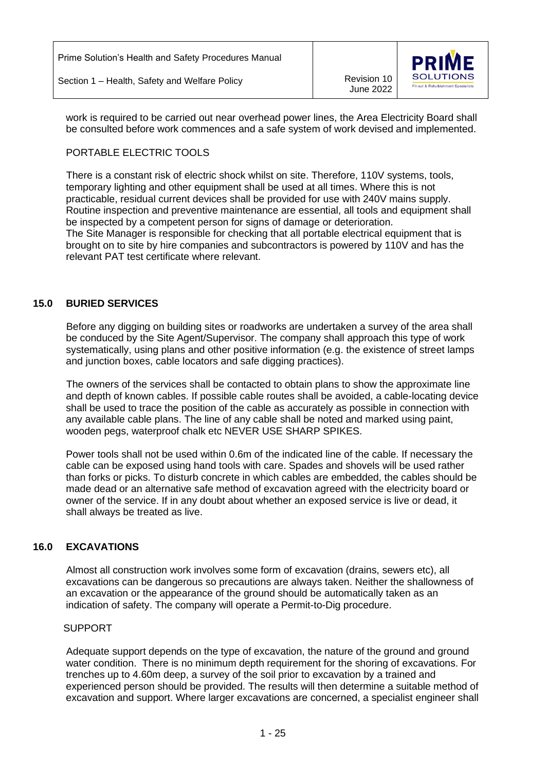

work is required to be carried out near overhead power lines, the Area Electricity Board shall be consulted before work commences and a safe system of work devised and implemented.

# PORTABLE ELECTRIC TOOLS

There is a constant risk of electric shock whilst on site. Therefore, 110V systems, tools, temporary lighting and other equipment shall be used at all times. Where this is not practicable, residual current devices shall be provided for use with 240V mains supply. Routine inspection and preventive maintenance are essential, all tools and equipment shall be inspected by a competent person for signs of damage or deterioration. The Site Manager is responsible for checking that all portable electrical equipment that is brought on to site by hire companies and subcontractors is powered by 110V and has the relevant PAT test certificate where relevant.

# **15.0 BURIED SERVICES**

Before any digging on building sites or roadworks are undertaken a survey of the area shall be conduced by the Site Agent/Supervisor. The company shall approach this type of work systematically, using plans and other positive information (e.g. the existence of street lamps and junction boxes, cable locators and safe digging practices).

The owners of the services shall be contacted to obtain plans to show the approximate line and depth of known cables. If possible cable routes shall be avoided, a cable-locating device shall be used to trace the position of the cable as accurately as possible in connection with any available cable plans. The line of any cable shall be noted and marked using paint, wooden pegs, waterproof chalk etc NEVER USE SHARP SPIKES.

Power tools shall not be used within 0.6m of the indicated line of the cable. If necessary the cable can be exposed using hand tools with care. Spades and shovels will be used rather than forks or picks. To disturb concrete in which cables are embedded, the cables should be made dead or an alternative safe method of excavation agreed with the electricity board or owner of the service. If in any doubt about whether an exposed service is live or dead, it shall always be treated as live.

## **16.0 EXCAVATIONS**

Almost all construction work involves some form of excavation (drains, sewers etc), all excavations can be dangerous so precautions are always taken. Neither the shallowness of an excavation or the appearance of the ground should be automatically taken as an indication of safety. The company will operate a Permit-to-Dig procedure.

## SUPPORT

Adequate support depends on the type of excavation, the nature of the ground and ground water condition. There is no minimum depth requirement for the shoring of excavations. For trenches up to 4.60m deep, a survey of the soil prior to excavation by a trained and experienced person should be provided. The results will then determine a suitable method of excavation and support. Where larger excavations are concerned, a specialist engineer shall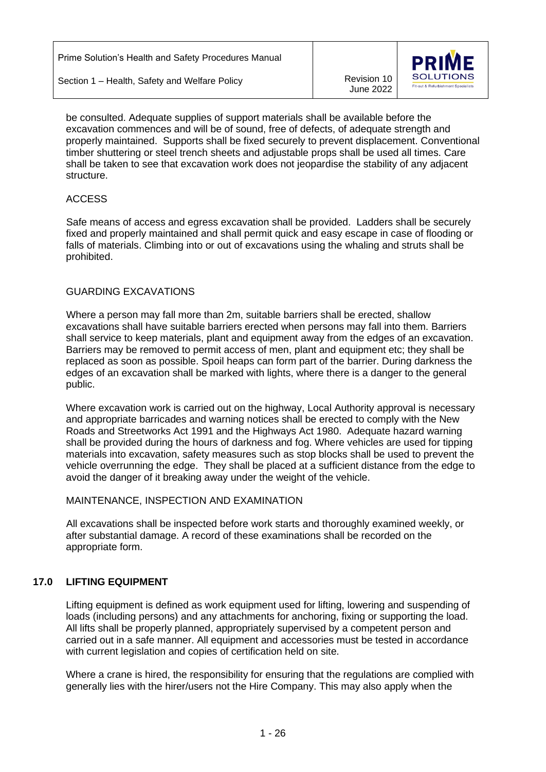June 2022



be consulted. Adequate supplies of support materials shall be available before the excavation commences and will be of sound, free of defects, of adequate strength and properly maintained. Supports shall be fixed securely to prevent displacement. Conventional timber shuttering or steel trench sheets and adjustable props shall be used all times. Care shall be taken to see that excavation work does not jeopardise the stability of any adjacent structure.

## ACCESS

Safe means of access and egress excavation shall be provided. Ladders shall be securely fixed and properly maintained and shall permit quick and easy escape in case of flooding or falls of materials. Climbing into or out of excavations using the whaling and struts shall be prohibited.

## GUARDING EXCAVATIONS

Where a person may fall more than 2m, suitable barriers shall be erected, shallow excavations shall have suitable barriers erected when persons may fall into them. Barriers shall service to keep materials, plant and equipment away from the edges of an excavation. Barriers may be removed to permit access of men, plant and equipment etc; they shall be replaced as soon as possible. Spoil heaps can form part of the barrier. During darkness the edges of an excavation shall be marked with lights, where there is a danger to the general public.

Where excavation work is carried out on the highway, Local Authority approval is necessary and appropriate barricades and warning notices shall be erected to comply with the New Roads and Streetworks Act 1991 and the Highways Act 1980. Adequate hazard warning shall be provided during the hours of darkness and fog. Where vehicles are used for tipping materials into excavation, safety measures such as stop blocks shall be used to prevent the vehicle overrunning the edge. They shall be placed at a sufficient distance from the edge to avoid the danger of it breaking away under the weight of the vehicle.

#### MAINTENANCE, INSPECTION AND EXAMINATION

All excavations shall be inspected before work starts and thoroughly examined weekly, or after substantial damage. A record of these examinations shall be recorded on the appropriate form.

## **17.0 LIFTING EQUIPMENT**

Lifting equipment is defined as work equipment used for lifting, lowering and suspending of loads (including persons) and any attachments for anchoring, fixing or supporting the load. All lifts shall be properly planned, appropriately supervised by a competent person and carried out in a safe manner. All equipment and accessories must be tested in accordance with current legislation and copies of certification held on site.

Where a crane is hired, the responsibility for ensuring that the regulations are complied with generally lies with the hirer/users not the Hire Company. This may also apply when the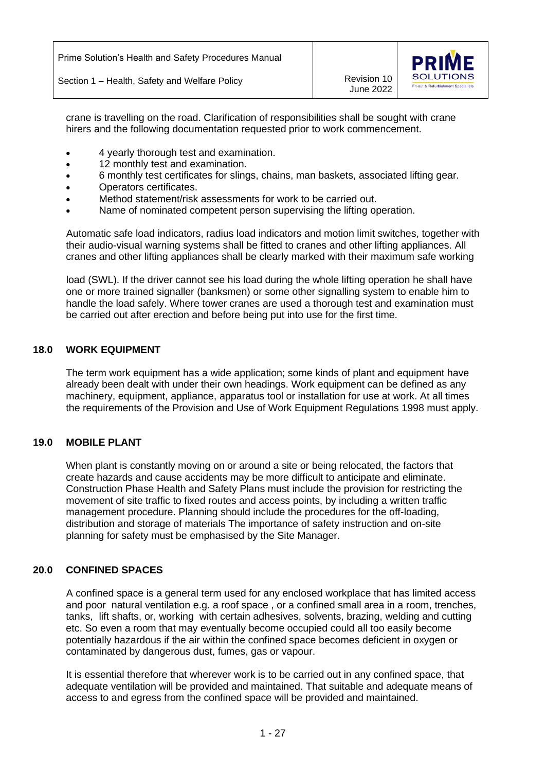June 2022



crane is travelling on the road. Clarification of responsibilities shall be sought with crane hirers and the following documentation requested prior to work commencement.

- 4 yearly thorough test and examination.
- 12 monthly test and examination.
- 6 monthly test certificates for slings, chains, man baskets, associated lifting gear.
- Operators certificates.
- Method statement/risk assessments for work to be carried out.
- Name of nominated competent person supervising the lifting operation.

Automatic safe load indicators, radius load indicators and motion limit switches, together with their audio-visual warning systems shall be fitted to cranes and other lifting appliances. All cranes and other lifting appliances shall be clearly marked with their maximum safe working

load (SWL). If the driver cannot see his load during the whole lifting operation he shall have one or more trained signaller (banksmen) or some other signalling system to enable him to handle the load safely. Where tower cranes are used a thorough test and examination must be carried out after erection and before being put into use for the first time.

## **18.0 WORK EQUIPMENT**

The term work equipment has a wide application; some kinds of plant and equipment have already been dealt with under their own headings. Work equipment can be defined as any machinery, equipment, appliance, apparatus tool or installation for use at work. At all times the requirements of the Provision and Use of Work Equipment Regulations 1998 must apply.

#### **19.0 MOBILE PLANT**

When plant is constantly moving on or around a site or being relocated, the factors that create hazards and cause accidents may be more difficult to anticipate and eliminate. Construction Phase Health and Safety Plans must include the provision for restricting the movement of site traffic to fixed routes and access points, by including a written traffic management procedure. Planning should include the procedures for the off-loading, distribution and storage of materials The importance of safety instruction and on-site planning for safety must be emphasised by the Site Manager.

#### **20.0 CONFINED SPACES**

A confined space is a general term used for any enclosed workplace that has limited access and poor natural ventilation e.g. a roof space , or a confined small area in a room, trenches, tanks, lift shafts, or, working with certain adhesives, solvents, brazing, welding and cutting etc. So even a room that may eventually become occupied could all too easily become potentially hazardous if the air within the confined space becomes deficient in oxygen or contaminated by dangerous dust, fumes, gas or vapour.

It is essential therefore that wherever work is to be carried out in any confined space, that adequate ventilation will be provided and maintained. That suitable and adequate means of access to and egress from the confined space will be provided and maintained.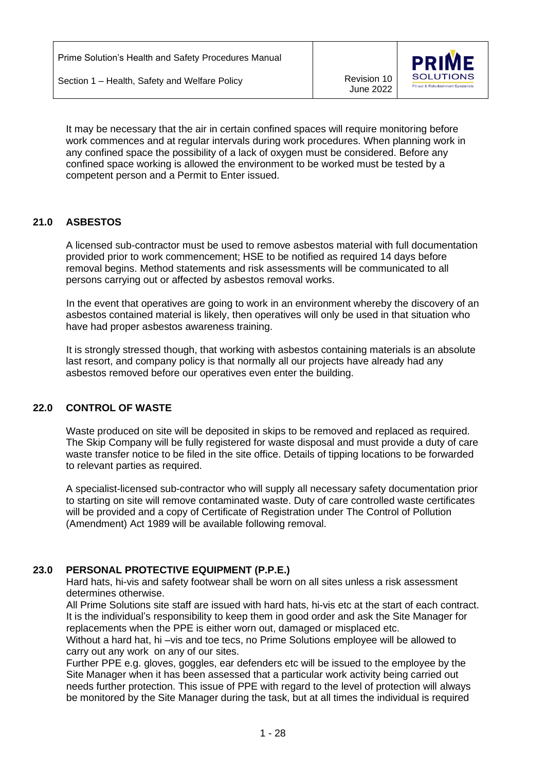June 2022



It may be necessary that the air in certain confined spaces will require monitoring before work commences and at regular intervals during work procedures. When planning work in any confined space the possibility of a lack of oxygen must be considered. Before any confined space working is allowed the environment to be worked must be tested by a competent person and a Permit to Enter issued.

## **21.0 ASBESTOS**

A licensed sub-contractor must be used to remove asbestos material with full documentation provided prior to work commencement; HSE to be notified as required 14 days before removal begins. Method statements and risk assessments will be communicated to all persons carrying out or affected by asbestos removal works.

 In the event that operatives are going to work in an environment whereby the discovery of an asbestos contained material is likely, then operatives will only be used in that situation who have had proper asbestos awareness training.

 It is strongly stressed though, that working with asbestos containing materials is an absolute last resort, and company policy is that normally all our projects have already had any asbestos removed before our operatives even enter the building.

## **22.0 CONTROL OF WASTE**

Waste produced on site will be deposited in skips to be removed and replaced as required. The Skip Company will be fully registered for waste disposal and must provide a duty of care waste transfer notice to be filed in the site office. Details of tipping locations to be forwarded to relevant parties as required.

A specialist-licensed sub-contractor who will supply all necessary safety documentation prior to starting on site will remove contaminated waste. Duty of care controlled waste certificates will be provided and a copy of Certificate of Registration under The Control of Pollution (Amendment) Act 1989 will be available following removal.

## **23.0 PERSONAL PROTECTIVE EQUIPMENT (P.P.E.)**

 Hard hats, hi-vis and safety footwear shall be worn on all sites unless a risk assessment determines otherwise.

 All Prime Solutions site staff are issued with hard hats, hi-vis etc at the start of each contract. It is the individual's responsibility to keep them in good order and ask the Site Manager for replacements when the PPE is either worn out, damaged or misplaced etc.

Without a hard hat, hi –vis and toe tecs, no Prime Solutions employee will be allowed to carry out any work on any of our sites.

 Further PPE e.g. gloves, goggles, ear defenders etc will be issued to the employee by the Site Manager when it has been assessed that a particular work activity being carried out needs further protection. This issue of PPE with regard to the level of protection will always be monitored by the Site Manager during the task, but at all times the individual is required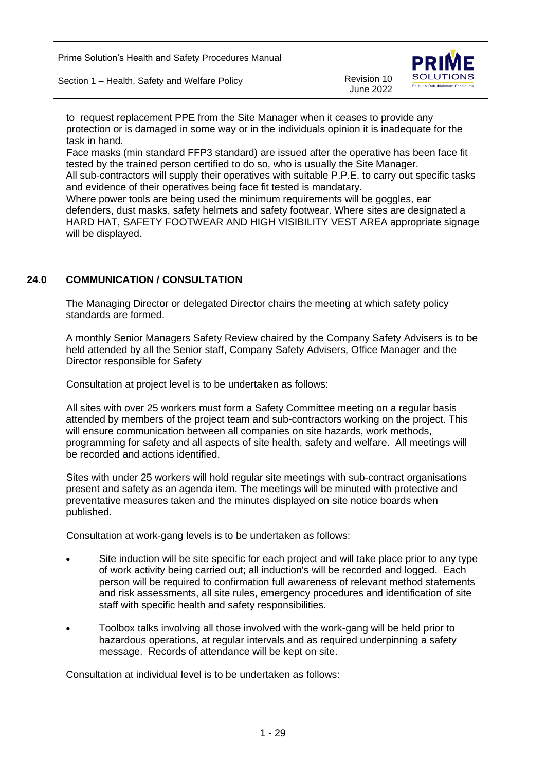Section 1 – Health, Safety and Welfare Policy Marketter Mercision 10



 to request replacement PPE from the Site Manager when it ceases to provide any protection or is damaged in some way or in the individuals opinion it is inadequate for the task in hand.

 Face masks (min standard FFP3 standard) are issued after the operative has been face fit tested by the trained person certified to do so, who is usually the Site Manager.

All sub-contractors will supply their operatives with suitable P.P.E. to carry out specific tasks and evidence of their operatives being face fit tested is mandatary.

 Where power tools are being used the minimum requirements will be goggles, ear defenders, dust masks, safety helmets and safety footwear. Where sites are designated a HARD HAT, SAFETY FOOTWEAR AND HIGH VISIBILITY VEST AREA appropriate signage will be displayed.

# **24.0 COMMUNICATION / CONSULTATION**

The Managing Director or delegated Director chairs the meeting at which safety policy standards are formed.

A monthly Senior Managers Safety Review chaired by the Company Safety Advisers is to be held attended by all the Senior staff, Company Safety Advisers, Office Manager and the Director responsible for Safety

Consultation at project level is to be undertaken as follows:

All sites with over 25 workers must form a Safety Committee meeting on a regular basis attended by members of the project team and sub-contractors working on the project. This will ensure communication between all companies on site hazards, work methods, programming for safety and all aspects of site health, safety and welfare. All meetings will be recorded and actions identified.

Sites with under 25 workers will hold regular site meetings with sub-contract organisations present and safety as an agenda item. The meetings will be minuted with protective and preventative measures taken and the minutes displayed on site notice boards when published.

Consultation at work-gang levels is to be undertaken as follows:

- Site induction will be site specific for each project and will take place prior to any type of work activity being carried out; all induction's will be recorded and logged. Each person will be required to confirmation full awareness of relevant method statements and risk assessments, all site rules, emergency procedures and identification of site staff with specific health and safety responsibilities.
- Toolbox talks involving all those involved with the work-gang will be held prior to hazardous operations, at regular intervals and as required underpinning a safety message. Records of attendance will be kept on site.

Consultation at individual level is to be undertaken as follows: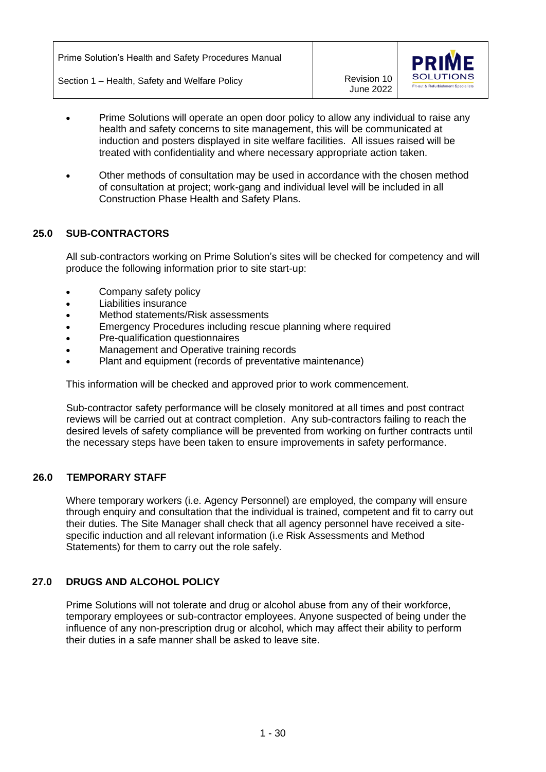

- Prime Solutions will operate an open door policy to allow any individual to raise any health and safety concerns to site management, this will be communicated at induction and posters displayed in site welfare facilities. All issues raised will be treated with confidentiality and where necessary appropriate action taken.
- Other methods of consultation may be used in accordance with the chosen method of consultation at project; work-gang and individual level will be included in all Construction Phase Health and Safety Plans.

# **25.0 SUB-CONTRACTORS**

All sub-contractors working on Prime Solution's sites will be checked for competency and will produce the following information prior to site start-up:

- Company safety policy
- Liabilities insurance
- Method statements/Risk assessments
- Emergency Procedures including rescue planning where required
- Pre-qualification questionnaires
- Management and Operative training records
- Plant and equipment (records of preventative maintenance)

This information will be checked and approved prior to work commencement.

Sub-contractor safety performance will be closely monitored at all times and post contract reviews will be carried out at contract completion. Any sub-contractors failing to reach the desired levels of safety compliance will be prevented from working on further contracts until the necessary steps have been taken to ensure improvements in safety performance.

## **26.0 TEMPORARY STAFF**

Where temporary workers (i.e. Agency Personnel) are employed, the company will ensure through enquiry and consultation that the individual is trained, competent and fit to carry out their duties. The Site Manager shall check that all agency personnel have received a sitespecific induction and all relevant information (i.e Risk Assessments and Method Statements) for them to carry out the role safely.

## **27.0 DRUGS AND ALCOHOL POLICY**

Prime Solutions will not tolerate and drug or alcohol abuse from any of their workforce, temporary employees or sub-contractor employees. Anyone suspected of being under the influence of any non-prescription drug or alcohol, which may affect their ability to perform their duties in a safe manner shall be asked to leave site.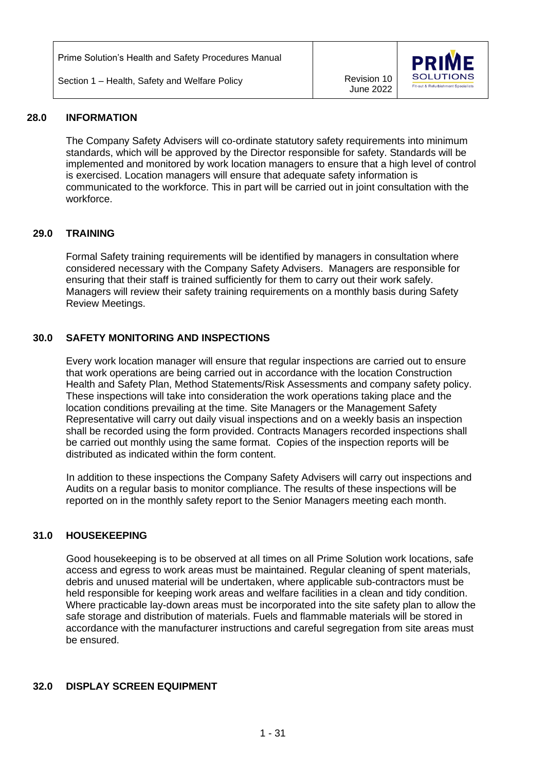Prime Solution's Health and Safety Procedures Manual

Section 1 – Health, Safety and Welfare Policy **Revision 10** Revision 10

June 2022



#### **28.0 INFORMATION**

The Company Safety Advisers will co-ordinate statutory safety requirements into minimum standards, which will be approved by the Director responsible for safety. Standards will be implemented and monitored by work location managers to ensure that a high level of control is exercised. Location managers will ensure that adequate safety information is communicated to the workforce. This in part will be carried out in joint consultation with the workforce.

## **29.0 TRAINING**

Formal Safety training requirements will be identified by managers in consultation where considered necessary with the Company Safety Advisers. Managers are responsible for ensuring that their staff is trained sufficiently for them to carry out their work safely. Managers will review their safety training requirements on a monthly basis during Safety Review Meetings.

# **30.0 SAFETY MONITORING AND INSPECTIONS**

Every work location manager will ensure that regular inspections are carried out to ensure that work operations are being carried out in accordance with the location Construction Health and Safety Plan, Method Statements/Risk Assessments and company safety policy. These inspections will take into consideration the work operations taking place and the location conditions prevailing at the time. Site Managers or the Management Safety Representative will carry out daily visual inspections and on a weekly basis an inspection shall be recorded using the form provided. Contracts Managers recorded inspections shall be carried out monthly using the same format. Copies of the inspection reports will be distributed as indicated within the form content.

In addition to these inspections the Company Safety Advisers will carry out inspections and Audits on a regular basis to monitor compliance. The results of these inspections will be reported on in the monthly safety report to the Senior Managers meeting each month.

## **31.0 HOUSEKEEPING**

Good housekeeping is to be observed at all times on all Prime Solution work locations, safe access and egress to work areas must be maintained. Regular cleaning of spent materials, debris and unused material will be undertaken, where applicable sub-contractors must be held responsible for keeping work areas and welfare facilities in a clean and tidy condition. Where practicable lay-down areas must be incorporated into the site safety plan to allow the safe storage and distribution of materials. Fuels and flammable materials will be stored in accordance with the manufacturer instructions and careful segregation from site areas must be ensured.

## **32.0 DISPLAY SCREEN EQUIPMENT**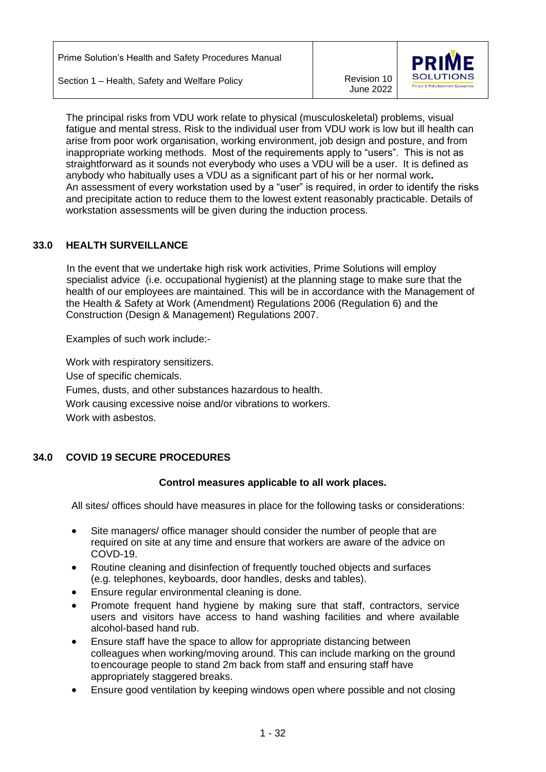June 2022



The principal risks from VDU work relate to physical (musculoskeletal) problems, visual fatigue and mental stress. Risk to the individual user from VDU work is low but ill health can arise from poor work organisation, working environment, job design and posture, and from inappropriate working methods. Most of the requirements apply to "users". This is not as straightforward as it sounds not everybody who uses a VDU will be a user. It is defined as anybody who habitually uses a VDU as a significant part of his or her normal work**.** An assessment of every workstation used by a "user" is required, in order to identify the risks and precipitate action to reduce them to the lowest extent reasonably practicable. Details of workstation assessments will be given during the induction process.

# **33.0 HEALTH SURVEILLANCE**

In the event that we undertake high risk work activities, Prime Solutions will employ specialist advice (i.e. occupational hygienist) at the planning stage to make sure that the health of our employees are maintained. This will be in accordance with the Management of the Health & Safety at Work (Amendment) Regulations 2006 (Regulation 6) and the Construction (Design & Management) Regulations 2007.

Examples of such work include:-

Work with respiratory sensitizers. Use of specific chemicals. Fumes, dusts, and other substances hazardous to health. Work causing excessive noise and/or vibrations to workers. Work with asbestos.

## **34.0 COVID 19 SECURE PROCEDURES**

## **Control measures applicable to all work places.**

All sites/ offices should have measures in place for the following tasks or considerations:

- Site managers/ office manager should consider the number of people that are required on site at any time and ensure that workers are aware of the advice on COVD-19.
- Routine cleaning and disinfection of frequently touched objects and surfaces (e.g. telephones, keyboards, door handles, desks and tables).
- Ensure regular environmental cleaning is done.
- Promote frequent hand hygiene by making sure that staff, contractors, service users and visitors have access to hand washing facilities and where available alcohol-based hand rub.
- Ensure staff have the space to allow for appropriate distancing between colleagues when working/moving around. This can include marking on the ground toencourage people to stand 2m back from staff and ensuring staff have appropriately staggered breaks.
- Ensure good ventilation by keeping windows open where possible and not closing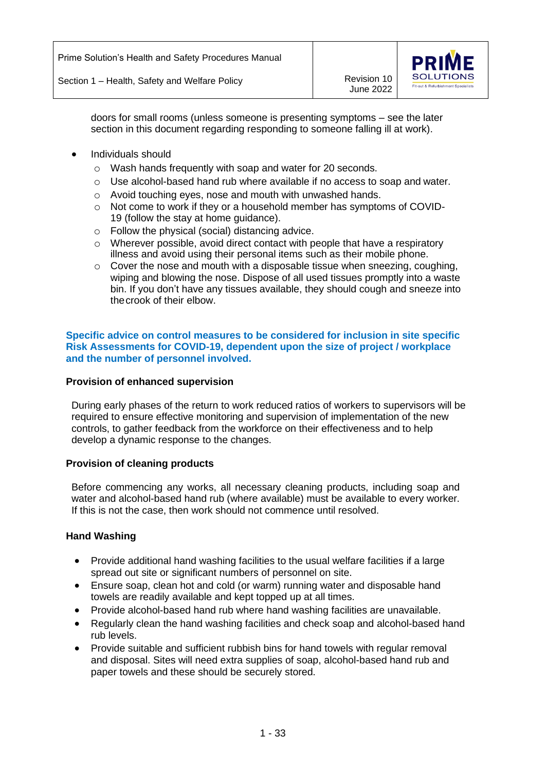

doors for small rooms (unless someone is presenting symptoms – see the later section in this document regarding responding to someone falling ill at work).

- Individuals should
	- o Wash hands frequently with soap and water for 20 seconds.
	- $\circ$  Use alcohol-based hand rub where available if no access to soap and water.
	- o Avoid touching eyes, nose and mouth with unwashed hands.
	- o Not come to work if they or a household member has symptoms of COVID-19 (follow the stay at home guidance).
	- o Follow the physical (social) distancing advice.
	- $\circ$  Wherever possible, avoid direct contact with people that have a respiratory illness and avoid using their personal items such as their mobile phone.
	- o Cover the nose and mouth with a disposable tissue when sneezing, coughing, wiping and blowing the nose. Dispose of all used tissues promptly into a waste bin. If you don't have any tissues available, they should cough and sneeze into thecrook of their elbow.

#### **Specific advice on control measures to be considered for inclusion in site specific Risk Assessments for COVID-19, dependent upon the size of project / workplace and the number of personnel involved.**

#### **Provision of enhanced supervision**

During early phases of the return to work reduced ratios of workers to supervisors will be required to ensure effective monitoring and supervision of implementation of the new controls, to gather feedback from the workforce on their effectiveness and to help develop a dynamic response to the changes.

#### **Provision of cleaning products**

Before commencing any works, all necessary cleaning products, including soap and water and alcohol-based hand rub (where available) must be available to every worker. If this is not the case, then work should not commence until resolved.

#### **Hand Washing**

- Provide additional hand washing facilities to the usual welfare facilities if a large spread out site or significant numbers of personnel on site.
- Ensure soap, clean hot and cold (or warm) running water and disposable hand towels are readily available and kept topped up at all times.
- Provide alcohol-based hand rub where hand washing facilities are unavailable.
- Regularly clean the hand washing facilities and check soap and alcohol-based hand rub levels.
- Provide suitable and sufficient rubbish bins for hand towels with regular removal and disposal. Sites will need extra supplies of soap, alcohol-based hand rub and paper towels and these should be securely stored.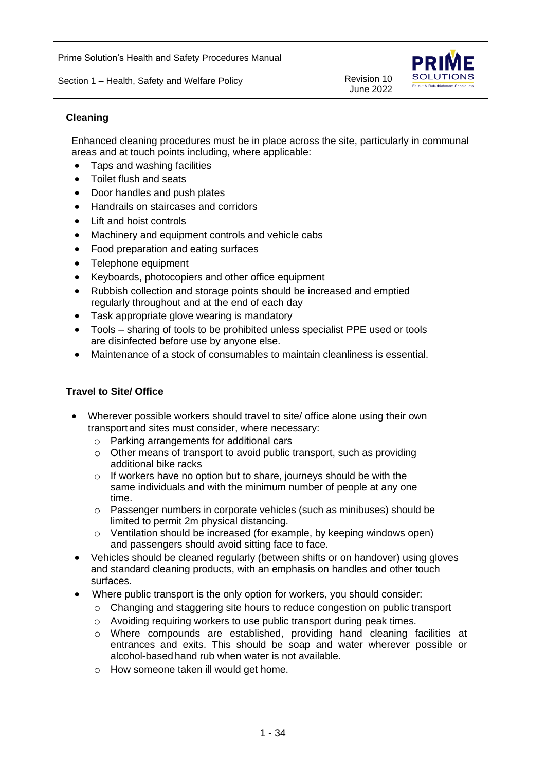Section 1 – Health, Safety and Welfare Policy Marketter Mercision 10

June 2022



## **Cleaning**

Enhanced cleaning procedures must be in place across the site, particularly in communal areas and at touch points including, where applicable:

- Taps and washing facilities
- Toilet flush and seats
- Door handles and push plates
- Handrails on staircases and corridors
- **Lift and hoist controls**
- Machinery and equipment controls and vehicle cabs
- Food preparation and eating surfaces
- Telephone equipment
- Keyboards, photocopiers and other office equipment
- Rubbish collection and storage points should be increased and emptied regularly throughout and at the end of each day
- Task appropriate glove wearing is mandatory
- Tools sharing of tools to be prohibited unless specialist PPE used or tools are disinfected before use by anyone else.
- Maintenance of a stock of consumables to maintain cleanliness is essential.

## **Travel to Site/ Office**

- Wherever possible workers should travel to site/ office alone using their own transportand sites must consider, where necessary:
	- o Parking arrangements for additional cars
	- o Other means of transport to avoid public transport, such as providing additional bike racks
	- o If workers have no option but to share, journeys should be with the same individuals and with the minimum number of people at any one time.
	- o Passenger numbers in corporate vehicles (such as minibuses) should be limited to permit 2m physical distancing.
	- o Ventilation should be increased (for example, by keeping windows open) and passengers should avoid sitting face to face.
- Vehicles should be cleaned regularly (between shifts or on handover) using gloves and standard cleaning products, with an emphasis on handles and other touch surfaces.
- Where public transport is the only option for workers, you should consider:
	- $\circ$  Changing and staggering site hours to reduce congestion on public transport
	- o Avoiding requiring workers to use public transport during peak times.
	- o Where compounds are established, providing hand cleaning facilities at entrances and exits. This should be soap and water wherever possible or alcohol-based hand rub when water is not available.
	- o How someone taken ill would get home.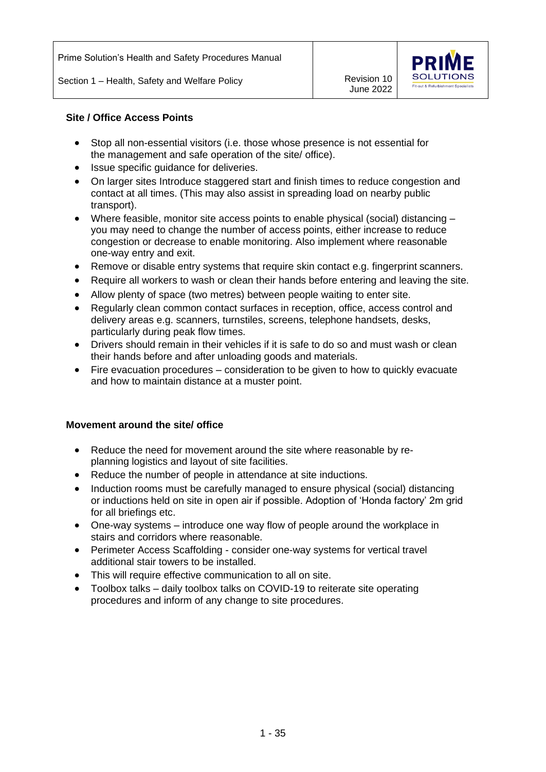

## **Site / Office Access Points**

- Stop all non-essential visitors (i.e. those whose presence is not essential for the management and safe operation of the site/ office).
- Issue specific quidance for deliveries.
- On larger sites Introduce staggered start and finish times to reduce congestion and contact at all times. (This may also assist in spreading load on nearby public transport).
- Where feasible, monitor site access points to enable physical (social) distancing you may need to change the number of access points, either increase to reduce congestion or decrease to enable monitoring. Also implement where reasonable one-way entry and exit.
- Remove or disable entry systems that require skin contact e.g. fingerprint scanners.
- Require all workers to wash or clean their hands before entering and leaving the site.
- Allow plenty of space (two metres) between people waiting to enter site.
- Regularly clean common contact surfaces in reception, office, access control and delivery areas e.g. scanners, turnstiles, screens, telephone handsets, desks, particularly during peak flow times.
- Drivers should remain in their vehicles if it is safe to do so and must wash or clean their hands before and after unloading goods and materials.
- Fire evacuation procedures consideration to be given to how to quickly evacuate and how to maintain distance at a muster point.

## **Movement around the site/ office**

- Reduce the need for movement around the site where reasonable by replanning logistics and layout of site facilities.
- Reduce the number of people in attendance at site inductions.
- Induction rooms must be carefully managed to ensure physical (social) distancing or inductions held on site in open air if possible. Adoption of 'Honda factory' 2m grid for all briefings etc.
- One-way systems introduce one way flow of people around the workplace in stairs and corridors where reasonable.
- Perimeter Access Scaffolding consider one-way systems for vertical travel additional stair towers to be installed.
- This will require effective communication to all on site.
- Toolbox talks daily toolbox talks on COVID-19 to reiterate site operating procedures and inform of any change to site procedures.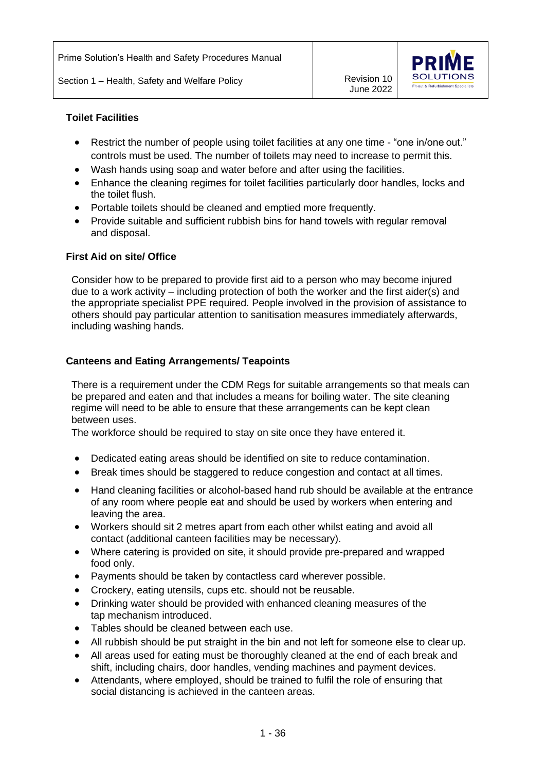

#### **Toilet Facilities**

- Restrict the number of people using toilet facilities at any one time "one in/one out." controls must be used. The number of toilets may need to increase to permit this.
- Wash hands using soap and water before and after using the facilities.
- Enhance the cleaning regimes for toilet facilities particularly door handles, locks and the toilet flush.
- Portable toilets should be cleaned and emptied more frequently.
- Provide suitable and sufficient rubbish bins for hand towels with regular removal and disposal.

#### **First Aid on site/ Office**

Consider how to be prepared to provide first aid to a person who may become injured due to a work activity – including protection of both the worker and the first aider(s) and the appropriate specialist PPE required. People involved in the provision of assistance to others should pay particular attention to sanitisation measures immediately afterwards, including washing hands.

## **Canteens and Eating Arrangements/ Teapoints**

There is a requirement under the CDM Regs for suitable arrangements so that meals can be prepared and eaten and that includes a means for boiling water. The site cleaning regime will need to be able to ensure that these arrangements can be kept clean between uses.

The workforce should be required to stay on site once they have entered it.

- Dedicated eating areas should be identified on site to reduce contamination.
- Break times should be staggered to reduce congestion and contact at all times.
- Hand cleaning facilities or alcohol-based hand rub should be available at the entrance of any room where people eat and should be used by workers when entering and leaving the area.
- Workers should sit 2 metres apart from each other whilst eating and avoid all contact (additional canteen facilities may be necessary).
- Where catering is provided on site, it should provide pre-prepared and wrapped food only.
- Payments should be taken by contactless card wherever possible.
- Crockery, eating utensils, cups etc. should not be reusable.
- Drinking water should be provided with enhanced cleaning measures of the tap mechanism introduced.
- Tables should be cleaned between each use.
- All rubbish should be put straight in the bin and not left for someone else to clear up.
- All areas used for eating must be thoroughly cleaned at the end of each break and shift, including chairs, door handles, vending machines and payment devices.
- Attendants, where employed, should be trained to fulfil the role of ensuring that social distancing is achieved in the canteen areas.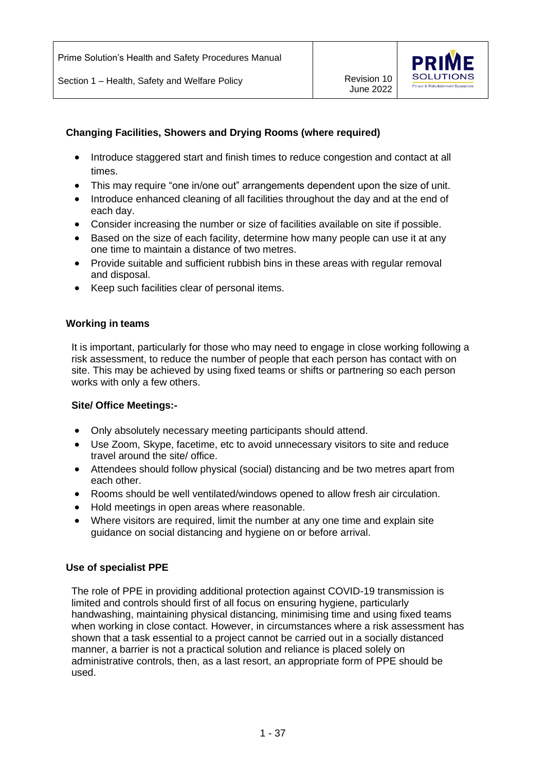

# **Changing Facilities, Showers and Drying Rooms (where required)**

- Introduce staggered start and finish times to reduce congestion and contact at all times.
- This may require "one in/one out" arrangements dependent upon the size of unit.
- Introduce enhanced cleaning of all facilities throughout the day and at the end of each day.
- Consider increasing the number or size of facilities available on site if possible.
- Based on the size of each facility, determine how many people can use it at any one time to maintain a distance of two metres.
- Provide suitable and sufficient rubbish bins in these areas with regular removal and disposal.
- Keep such facilities clear of personal items.

#### **Working in teams**

It is important, particularly for those who may need to engage in close working following a risk assessment, to reduce the number of people that each person has contact with on site. This may be achieved by using fixed teams or shifts or partnering so each person works with only a few others.

#### **Site/ Office Meetings:-**

- Only absolutely necessary meeting participants should attend.
- Use Zoom, Skype, facetime, etc to avoid unnecessary visitors to site and reduce travel around the site/ office.
- Attendees should follow physical (social) distancing and be two metres apart from each other.
- Rooms should be well ventilated/windows opened to allow fresh air circulation.
- Hold meetings in open areas where reasonable.
- Where visitors are required, limit the number at any one time and explain site guidance on social distancing and hygiene on or before arrival.

#### **Use of specialist PPE**

The role of PPE in providing additional protection against COVID-19 transmission is limited and controls should first of all focus on ensuring hygiene, particularly handwashing, maintaining physical distancing, minimising time and using fixed teams when working in close contact. However, in circumstances where a risk assessment has shown that a task essential to a project cannot be carried out in a socially distanced manner, a barrier is not a practical solution and reliance is placed solely on administrative controls, then, as a last resort, an appropriate form of PPE should be used.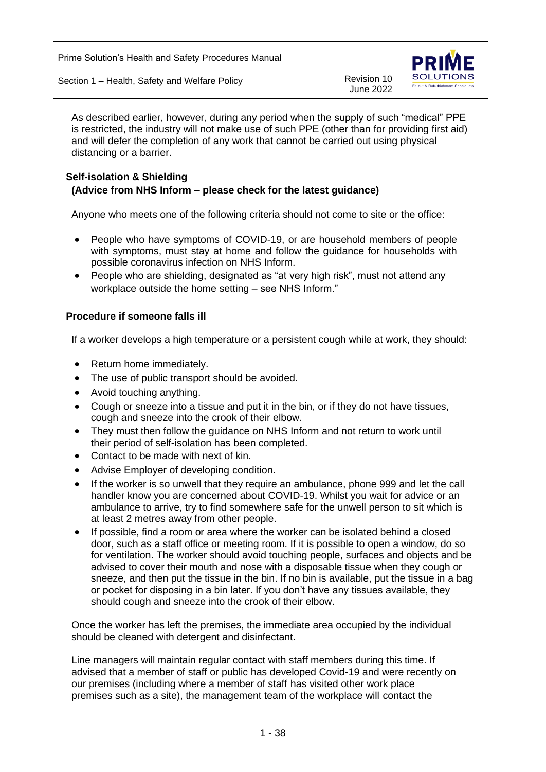

As described earlier, however, during any period when the supply of such "medical" PPE is restricted, the industry will not make use of such PPE (other than for providing first aid) and will defer the completion of any work that cannot be carried out using physical distancing or a barrier.

# **Self-isolation & Shielding (Advice from NHS Inform – please check for the latest guidance)**

Anyone who meets one of the following criteria should not come to site or the office:

- People who have symptoms of COVID-19, or are household members of people with symptoms, must stay at home and follow the guidance for households with possible coronavirus infection on NHS Inform.
- People who are shielding, designated as "at very high risk", must not attend any workplace outside the home setting – see NHS Inform."

## **Procedure if someone falls ill**

If a worker develops a high temperature or a persistent cough while at work, they should:

- Return home immediately.
- The use of public transport should be avoided.
- Avoid touching anything.
- Cough or sneeze into a tissue and put it in the bin, or if they do not have tissues, cough and sneeze into the crook of their elbow.
- They must then follow the guidance on NHS Inform and not return to work until their period of self-isolation has been completed.
- Contact to be made with next of kin.
- Advise Employer of developing condition.
- If the worker is so unwell that they require an ambulance, phone 999 and let the call handler know you are concerned about COVID-19. Whilst you wait for advice or an ambulance to arrive, try to find somewhere safe for the unwell person to sit which is at least 2 metres away from other people.
- If possible, find a room or area where the worker can be isolated behind a closed door, such as a staff office or meeting room. If it is possible to open a window, do so for ventilation. The worker should avoid touching people, surfaces and objects and be advised to cover their mouth and nose with a disposable tissue when they cough or sneeze, and then put the tissue in the bin. If no bin is available, put the tissue in a bag or pocket for disposing in a bin later. If you don't have any tissues available, they should cough and sneeze into the crook of their elbow.

Once the worker has left the premises, the immediate area occupied by the individual should be cleaned with detergent and disinfectant.

Line managers will maintain regular contact with staff members during this time. If advised that a member of staff or public has developed Covid-19 and were recently on our premises (including where a member of staff has visited other work place premises such as a site), the management team of the workplace will contact the